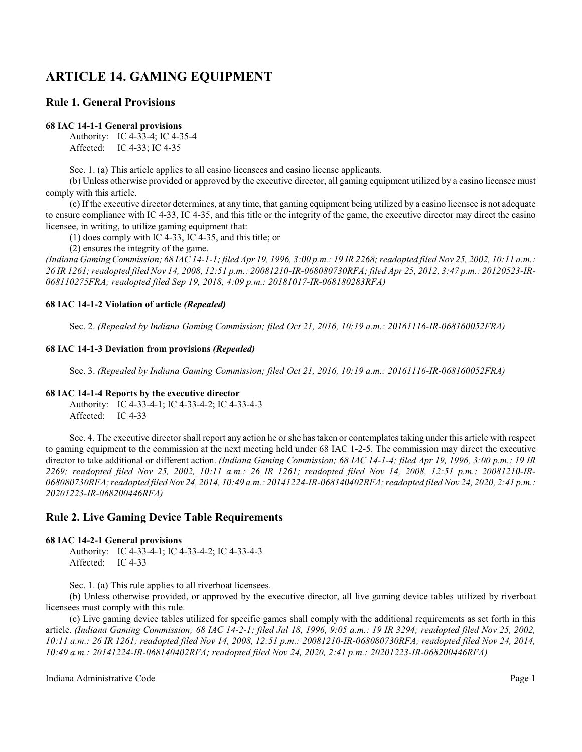# **ARTICLE 14. GAMING EQUIPMENT**

## **Rule 1. General Provisions**

## **68 IAC 14-1-1 General provisions**

Authority: IC 4-33-4; IC 4-35-4 Affected: IC 4-33; IC 4-35

Sec. 1. (a) This article applies to all casino licensees and casino license applicants.

(b) Unless otherwise provided or approved by the executive director, all gaming equipment utilized by a casino licensee must comply with this article.

(c) If the executive director determines, at any time, that gaming equipment being utilized by a casino licensee is not adequate to ensure compliance with IC 4-33, IC 4-35, and this title or the integrity of the game, the executive director may direct the casino licensee, in writing, to utilize gaming equipment that:

(1) does comply with IC 4-33, IC 4-35, and this title; or

(2) ensures the integrity of the game.

*(Indiana Gaming Commission; 68 IAC 14-1-1; filed Apr 19, 1996, 3:00 p.m.: 19 IR 2268; readopted filed Nov 25, 2002, 10:11 a.m.: 26 IR 1261; readopted filed Nov 14, 2008, 12:51 p.m.: 20081210-IR-068080730RFA; filed Apr 25, 2012, 3:47 p.m.: 20120523-IR-068110275FRA; readopted filed Sep 19, 2018, 4:09 p.m.: 20181017-IR-068180283RFA)*

## **68 IAC 14-1-2 Violation of article** *(Repealed)*

Sec. 2. *(Repealed by Indiana Gaming Commission; filed Oct 21, 2016, 10:19 a.m.: 20161116-IR-068160052FRA)*

## **68 IAC 14-1-3 Deviation from provisions** *(Repealed)*

Sec. 3. *(Repealed by Indiana Gaming Commission; filed Oct 21, 2016, 10:19 a.m.: 20161116-IR-068160052FRA)*

## **68 IAC 14-1-4 Reports by the executive director**

Authority: IC 4-33-4-1; IC 4-33-4-2; IC 4-33-4-3 Affected: IC 4-33

Sec. 4. The executive director shall report any action he or she has taken or contemplates taking under this article with respect to gaming equipment to the commission at the next meeting held under 68 IAC 1-2-5. The commission may direct the executive director to take additional or different action. *(Indiana Gaming Commission; 68 IAC 14-1-4; filed Apr 19, 1996, 3:00 p.m.: 19 IR 2269; readopted filed Nov 25, 2002, 10:11 a.m.: 26 IR 1261; readopted filed Nov 14, 2008, 12:51 p.m.: 20081210-IR-068080730RFA; readopted filed Nov 24, 2014, 10:49 a.m.: 20141224-IR-068140402RFA; readopted filed Nov 24, 2020, 2:41 p.m.: 20201223-IR-068200446RFA)*

## **Rule 2. Live Gaming Device Table Requirements**

## **68 IAC 14-2-1 General provisions**

Authority: IC 4-33-4-1; IC 4-33-4-2; IC 4-33-4-3 Affected: IC 4-33

Sec. 1. (a) This rule applies to all riverboat licensees.

(b) Unless otherwise provided, or approved by the executive director, all live gaming device tables utilized by riverboat licensees must comply with this rule.

(c) Live gaming device tables utilized for specific games shall comply with the additional requirements as set forth in this article. *(Indiana Gaming Commission; 68 IAC 14-2-1; filed Jul 18, 1996, 9:05 a.m.: 19 IR 3294; readopted filed Nov 25, 2002, 10:11 a.m.: 26 IR 1261; readopted filed Nov 14, 2008, 12:51 p.m.: 20081210-IR-068080730RFA; readopted filed Nov 24, 2014, 10:49 a.m.: 20141224-IR-068140402RFA; readopted filed Nov 24, 2020, 2:41 p.m.: 20201223-IR-068200446RFA)*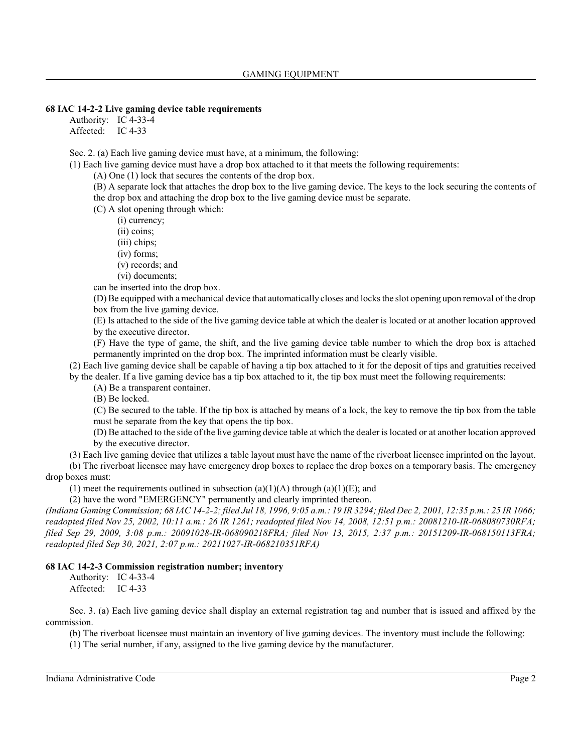#### **68 IAC 14-2-2 Live gaming device table requirements**

Authority: IC 4-33-4 Affected: IC 4-33

Sec. 2. (a) Each live gaming device must have, at a minimum, the following:

(1) Each live gaming device must have a drop box attached to it that meets the following requirements:

(A) One (1) lock that secures the contents of the drop box.

(B) A separate lock that attaches the drop box to the live gaming device. The keys to the lock securing the contents of the drop box and attaching the drop box to the live gaming device must be separate.

(C) A slot opening through which:

(i) currency;

(ii) coins;

(iii) chips;

(iv) forms;

(v) records; and

(vi) documents;

can be inserted into the drop box.

(D) Be equipped with a mechanical device that automatically closes and locks the slot opening upon removal of the drop box from the live gaming device.

(E) Is attached to the side of the live gaming device table at which the dealer is located or at another location approved by the executive director.

(F) Have the type of game, the shift, and the live gaming device table number to which the drop box is attached permanently imprinted on the drop box. The imprinted information must be clearly visible.

(2) Each live gaming device shall be capable of having a tip box attached to it for the deposit of tips and gratuities received by the dealer. If a live gaming device has a tip box attached to it, the tip box must meet the following requirements:

(A) Be a transparent container.

(B) Be locked.

(C) Be secured to the table. If the tip box is attached by means of a lock, the key to remove the tip box from the table must be separate from the key that opens the tip box.

(D) Be attached to the side of the live gaming device table at which the dealer is located or at another location approved by the executive director.

(3) Each live gaming device that utilizes a table layout must have the name of the riverboat licensee imprinted on the layout.

(b) The riverboat licensee may have emergency drop boxes to replace the drop boxes on a temporary basis. The emergency drop boxes must:

(1) meet the requirements outlined in subsection (a)(1)(A) through (a)(1)(E); and

(2) have the word "EMERGENCY" permanently and clearly imprinted thereon.

*(Indiana Gaming Commission; 68 IAC 14-2-2; filed Jul 18, 1996, 9:05 a.m.: 19 IR 3294; filed Dec 2, 2001, 12:35 p.m.: 25 IR 1066; readopted filed Nov 25, 2002, 10:11 a.m.: 26 IR 1261; readopted filed Nov 14, 2008, 12:51 p.m.: 20081210-IR-068080730RFA; filed Sep 29, 2009, 3:08 p.m.: 20091028-IR-068090218FRA; filed Nov 13, 2015, 2:37 p.m.: 20151209-IR-068150113FRA; readopted filed Sep 30, 2021, 2:07 p.m.: 20211027-IR-068210351RFA)*

#### **68 IAC 14-2-3 Commission registration number; inventory**

Authority: IC 4-33-4 Affected: IC 4-33

Sec. 3. (a) Each live gaming device shall display an external registration tag and number that is issued and affixed by the commission.

(b) The riverboat licensee must maintain an inventory of live gaming devices. The inventory must include the following:

(1) The serial number, if any, assigned to the live gaming device by the manufacturer.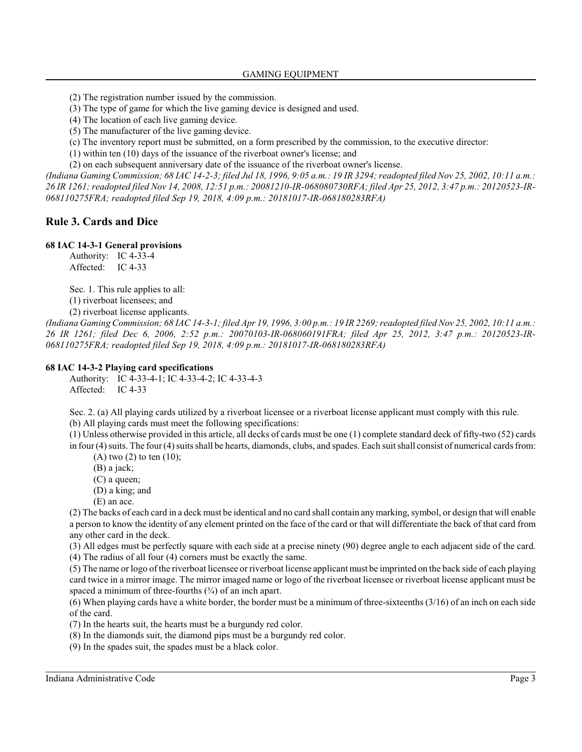- (2) The registration number issued by the commission.
- (3) The type of game for which the live gaming device is designed and used.
- (4) The location of each live gaming device.
- (5) The manufacturer of the live gaming device.
- (c) The inventory report must be submitted, on a form prescribed by the commission, to the executive director:
- (1) within ten (10) days of the issuance of the riverboat owner's license; and

(2) on each subsequent anniversary date of the issuance of the riverboat owner's license.

*(Indiana Gaming Commission; 68 IAC 14-2-3; filed Jul 18, 1996, 9:05 a.m.: 19 IR 3294; readopted filed Nov 25, 2002, 10:11 a.m.: 26 IR 1261; readopted filed Nov 14, 2008, 12:51 p.m.: 20081210-IR-068080730RFA; filed Apr 25, 2012, 3:47 p.m.: 20120523-IR-068110275FRA; readopted filed Sep 19, 2018, 4:09 p.m.: 20181017-IR-068180283RFA)*

#### **Rule 3. Cards and Dice**

#### **68 IAC 14-3-1 General provisions**

Authority: IC 4-33-4 Affected: IC 4-33

Sec. 1. This rule applies to all:

(1) riverboat licensees; and

(2) riverboat license applicants.

*(Indiana Gaming Commission; 68 IAC 14-3-1; filed Apr 19, 1996, 3:00 p.m.: 19 IR 2269; readopted filed Nov 25, 2002, 10:11 a.m.: 26 IR 1261; filed Dec 6, 2006, 2:52 p.m.: 20070103-IR-068060191FRA; filed Apr 25, 2012, 3:47 p.m.: 20120523-IR-068110275FRA; readopted filed Sep 19, 2018, 4:09 p.m.: 20181017-IR-068180283RFA)*

#### **68 IAC 14-3-2 Playing card specifications**

Authority: IC 4-33-4-1; IC 4-33-4-2; IC 4-33-4-3 Affected: IC 4-33

Sec. 2. (a) All playing cards utilized by a riverboat licensee or a riverboat license applicant must comply with this rule. (b) All playing cards must meet the following specifications:

(1) Unless otherwise provided in this article, all decks of cards must be one (1) complete standard deck of fifty-two (52) cards in four (4) suits. The four (4) suits shall be hearts, diamonds, clubs, and spades. Each suit shall consist of numerical cards from:

 $(A)$  two  $(2)$  to ten  $(10)$ ;

(B) a jack;

(C) a queen;

- (D) a king; and
- (E) an ace.

(2) The backs of each card in a deck must be identical and no card shall contain anymarking, symbol, or design that will enable a person to know the identity of any element printed on the face of the card or that will differentiate the back of that card from any other card in the deck.

(3) All edges must be perfectly square with each side at a precise ninety (90) degree angle to each adjacent side of the card.

(4) The radius of all four (4) corners must be exactly the same.

(5) The name or logo of the riverboat licensee or riverboat license applicant must be imprinted on the back side of each playing card twice in a mirror image. The mirror imaged name or logo of the riverboat licensee or riverboat license applicant must be spaced a minimum of three-fourths  $(3/4)$  of an inch apart.

(6) When playing cards have a white border, the border must be a minimum of three-sixteenths(3/16) of an inch on each side of the card.

- (7) In the hearts suit, the hearts must be a burgundy red color.
- (8) In the diamonds suit, the diamond pips must be a burgundy red color.
- (9) In the spades suit, the spades must be a black color.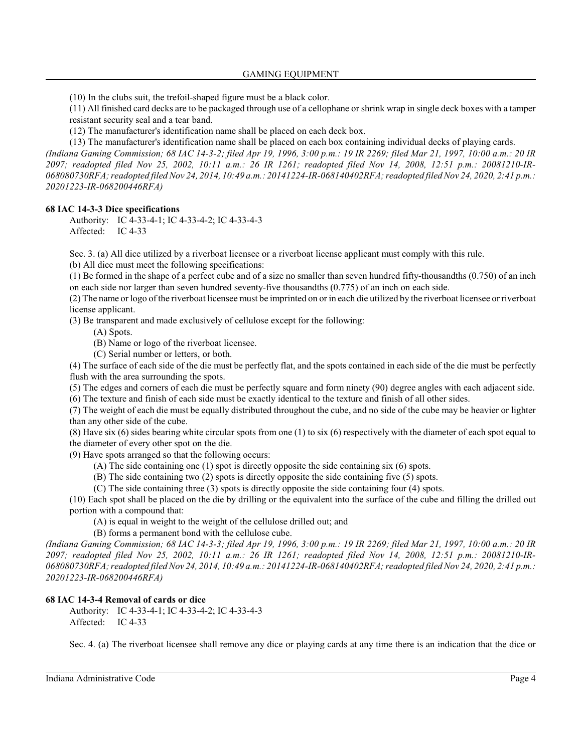(10) In the clubs suit, the trefoil-shaped figure must be a black color.

(11) All finished card decks are to be packaged through use of a cellophane or shrink wrap in single deck boxes with a tamper resistant security seal and a tear band.

(12) The manufacturer's identification name shall be placed on each deck box.

(13) The manufacturer's identification name shall be placed on each box containing individual decks of playing cards. *(Indiana Gaming Commission; 68 IAC 14-3-2; filed Apr 19, 1996, 3:00 p.m.: 19 IR 2269; filed Mar 21, 1997, 10:00 a.m.: 20 IR 2097; readopted filed Nov 25, 2002, 10:11 a.m.: 26 IR 1261; readopted filed Nov 14, 2008, 12:51 p.m.: 20081210-IR-068080730RFA; readopted filed Nov 24, 2014, 10:49 a.m.: 20141224-IR-068140402RFA; readopted filed Nov 24, 2020, 2:41 p.m.: 20201223-IR-068200446RFA)*

## **68 IAC 14-3-3 Dice specifications**

Authority: IC 4-33-4-1; IC 4-33-4-2; IC 4-33-4-3 Affected: IC 4-33

Sec. 3. (a) All dice utilized by a riverboat licensee or a riverboat license applicant must comply with this rule.

(b) All dice must meet the following specifications:

(1) Be formed in the shape of a perfect cube and of a size no smaller than seven hundred fifty-thousandths (0.750) of an inch on each side nor larger than seven hundred seventy-five thousandths (0.775) of an inch on each side.

(2) The name or logo of the riverboat licensee must be imprinted on or in each die utilized by the riverboat licensee or riverboat license applicant.

(3) Be transparent and made exclusively of cellulose except for the following:

(A) Spots.

(B) Name or logo of the riverboat licensee.

(C) Serial number or letters, or both.

(4) The surface of each side of the die must be perfectly flat, and the spots contained in each side of the die must be perfectly flush with the area surrounding the spots.

(5) The edges and corners of each die must be perfectly square and form ninety (90) degree angles with each adjacent side. (6) The texture and finish of each side must be exactly identical to the texture and finish of all other sides.

(7) The weight of each die must be equally distributed throughout the cube, and no side of the cube may be heavier or lighter than any other side of the cube.

(8) Have six (6) sides bearing white circular spots from one (1) to six (6) respectively with the diameter of each spot equal to the diameter of every other spot on the die.

(9) Have spots arranged so that the following occurs:

(A) The side containing one (1) spot is directly opposite the side containing six (6) spots.

(B) The side containing two (2) spots is directly opposite the side containing five (5) spots.

(C) The side containing three (3) spots is directly opposite the side containing four (4) spots.

(10) Each spot shall be placed on the die by drilling or the equivalent into the surface of the cube and filling the drilled out portion with a compound that:

(A) is equal in weight to the weight of the cellulose drilled out; and

(B) forms a permanent bond with the cellulose cube.

*(Indiana Gaming Commission; 68 IAC 14-3-3; filed Apr 19, 1996, 3:00 p.m.: 19 IR 2269; filed Mar 21, 1997, 10:00 a.m.: 20 IR 2097; readopted filed Nov 25, 2002, 10:11 a.m.: 26 IR 1261; readopted filed Nov 14, 2008, 12:51 p.m.: 20081210-IR-068080730RFA; readopted filed Nov 24, 2014, 10:49 a.m.: 20141224-IR-068140402RFA; readopted filed Nov 24, 2020, 2:41 p.m.: 20201223-IR-068200446RFA)*

## **68 IAC 14-3-4 Removal of cards or dice**

Authority: IC 4-33-4-1; IC 4-33-4-2; IC 4-33-4-3 Affected: IC 4-33

Sec. 4. (a) The riverboat licensee shall remove any dice or playing cards at any time there is an indication that the dice or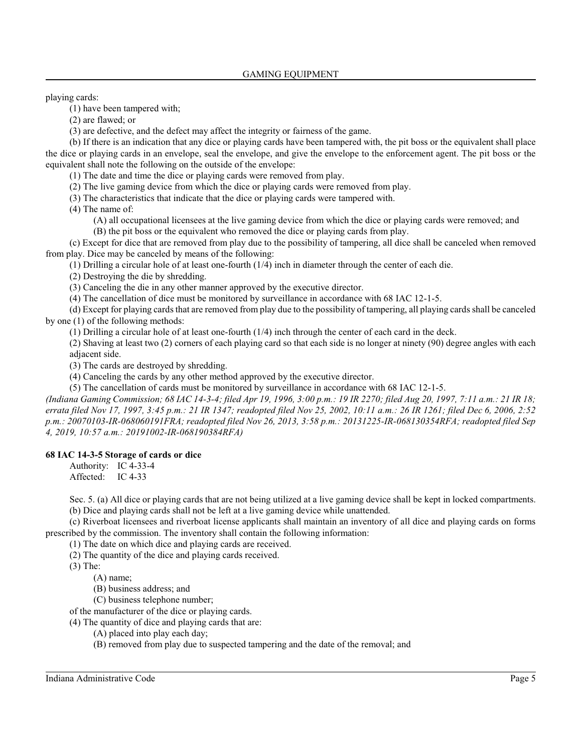playing cards:

(1) have been tampered with;

(2) are flawed; or

(3) are defective, and the defect may affect the integrity or fairness of the game.

(b) If there is an indication that any dice or playing cards have been tampered with, the pit boss or the equivalent shall place the dice or playing cards in an envelope, seal the envelope, and give the envelope to the enforcement agent. The pit boss or the equivalent shall note the following on the outside of the envelope:

(1) The date and time the dice or playing cards were removed from play.

(2) The live gaming device from which the dice or playing cards were removed from play.

(3) The characteristics that indicate that the dice or playing cards were tampered with.

(4) The name of:

(A) all occupational licensees at the live gaming device from which the dice or playing cards were removed; and (B) the pit boss or the equivalent who removed the dice or playing cards from play.

(c) Except for dice that are removed from play due to the possibility of tampering, all dice shall be canceled when removed from play. Dice may be canceled by means of the following:

(1) Drilling a circular hole of at least one-fourth (1/4) inch in diameter through the center of each die.

(2) Destroying the die by shredding.

(3) Canceling the die in any other manner approved by the executive director.

(4) The cancellation of dice must be monitored by surveillance in accordance with 68 IAC 12-1-5.

(d) Except for playing cards that are removed from play due to the possibility of tampering, all playing cards shall be canceled by one (1) of the following methods:

(1) Drilling a circular hole of at least one-fourth (1/4) inch through the center of each card in the deck.

(2) Shaving at least two (2) corners of each playing card so that each side is no longer at ninety (90) degree angles with each adjacent side.

(3) The cards are destroyed by shredding.

(4) Canceling the cards by any other method approved by the executive director.

(5) The cancellation of cards must be monitored by surveillance in accordance with 68 IAC 12-1-5.

*(Indiana Gaming Commission; 68 IAC 14-3-4; filed Apr 19, 1996, 3:00 p.m.: 19 IR 2270; filed Aug 20, 1997, 7:11 a.m.: 21 IR 18; errata filed Nov 17, 1997, 3:45 p.m.: 21 IR 1347; readopted filed Nov 25, 2002, 10:11 a.m.: 26 IR 1261; filed Dec 6, 2006, 2:52 p.m.: 20070103-IR-068060191FRA; readopted filed Nov 26, 2013, 3:58 p.m.: 20131225-IR-068130354RFA; readopted filed Sep 4, 2019, 10:57 a.m.: 20191002-IR-068190384RFA)*

#### **68 IAC 14-3-5 Storage of cards or dice**

Authority: IC 4-33-4 Affected: IC 4-33

Sec. 5. (a) All dice or playing cards that are not being utilized at a live gaming device shall be kept in locked compartments. (b) Dice and playing cards shall not be left at a live gaming device while unattended.

(c) Riverboat licensees and riverboat license applicants shall maintain an inventory of all dice and playing cards on forms prescribed by the commission. The inventory shall contain the following information:

(1) The date on which dice and playing cards are received.

(2) The quantity of the dice and playing cards received.

(3) The:

(A) name;

(B) business address; and

(C) business telephone number;

of the manufacturer of the dice or playing cards.

(4) The quantity of dice and playing cards that are:

- (A) placed into play each day;
- (B) removed from play due to suspected tampering and the date of the removal; and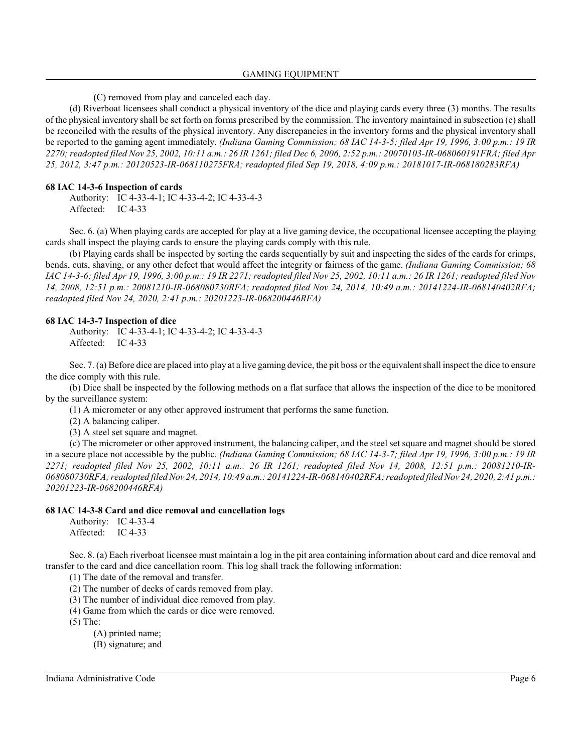(C) removed from play and canceled each day.

(d) Riverboat licensees shall conduct a physical inventory of the dice and playing cards every three (3) months. The results of the physical inventory shall be set forth on forms prescribed by the commission. The inventory maintained in subsection (c) shall be reconciled with the results of the physical inventory. Any discrepancies in the inventory forms and the physical inventory shall be reported to the gaming agent immediately. *(Indiana Gaming Commission; 68 IAC 14-3-5; filed Apr 19, 1996, 3:00 p.m.: 19 IR 2270; readopted filed Nov 25, 2002, 10:11 a.m.: 26 IR 1261; filed Dec 6, 2006, 2:52 p.m.: 20070103-IR-068060191FRA; filed Apr 25, 2012, 3:47 p.m.: 20120523-IR-068110275FRA; readopted filed Sep 19, 2018, 4:09 p.m.: 20181017-IR-068180283RFA)*

#### **68 IAC 14-3-6 Inspection of cards**

Authority: IC 4-33-4-1; IC 4-33-4-2; IC 4-33-4-3 Affected: IC 4-33

Sec. 6. (a) When playing cards are accepted for play at a live gaming device, the occupational licensee accepting the playing cards shall inspect the playing cards to ensure the playing cards comply with this rule.

(b) Playing cards shall be inspected by sorting the cards sequentially by suit and inspecting the sides of the cards for crimps, bends, cuts, shaving, or any other defect that would affect the integrity or fairness of the game. *(Indiana Gaming Commission; 68 IAC 14-3-6; filed Apr 19, 1996, 3:00 p.m.: 19 IR 2271; readopted filed Nov 25, 2002, 10:11 a.m.: 26 IR 1261; readopted filed Nov 14, 2008, 12:51 p.m.: 20081210-IR-068080730RFA; readopted filed Nov 24, 2014, 10:49 a.m.: 20141224-IR-068140402RFA; readopted filed Nov 24, 2020, 2:41 p.m.: 20201223-IR-068200446RFA)*

#### **68 IAC 14-3-7 Inspection of dice**

Authority: IC 4-33-4-1; IC 4-33-4-2; IC 4-33-4-3 Affected: IC 4-33

Sec. 7. (a) Before dice are placed into play at a live gaming device, the pit boss or the equivalent shall inspect the dice to ensure the dice comply with this rule.

(b) Dice shall be inspected by the following methods on a flat surface that allows the inspection of the dice to be monitored by the surveillance system:

(1) A micrometer or any other approved instrument that performs the same function.

(2) A balancing caliper.

(3) A steel set square and magnet.

(c) The micrometer or other approved instrument, the balancing caliper, and the steel set square and magnet should be stored in a secure place not accessible by the public. *(Indiana Gaming Commission; 68 IAC 14-3-7; filed Apr 19, 1996, 3:00 p.m.: 19 IR 2271; readopted filed Nov 25, 2002, 10:11 a.m.: 26 IR 1261; readopted filed Nov 14, 2008, 12:51 p.m.: 20081210-IR-068080730RFA; readopted filed Nov 24, 2014, 10:49 a.m.: 20141224-IR-068140402RFA; readopted filed Nov 24, 2020, 2:41 p.m.: 20201223-IR-068200446RFA)*

#### **68 IAC 14-3-8 Card and dice removal and cancellation logs**

Authority: IC 4-33-4 Affected: IC 4-33

Sec. 8. (a) Each riverboat licensee must maintain a log in the pit area containing information about card and dice removal and transfer to the card and dice cancellation room. This log shall track the following information:

(1) The date of the removal and transfer.

- (2) The number of decks of cards removed from play.
- (3) The number of individual dice removed from play.
- (4) Game from which the cards or dice were removed.

(5) The:

(A) printed name;

(B) signature; and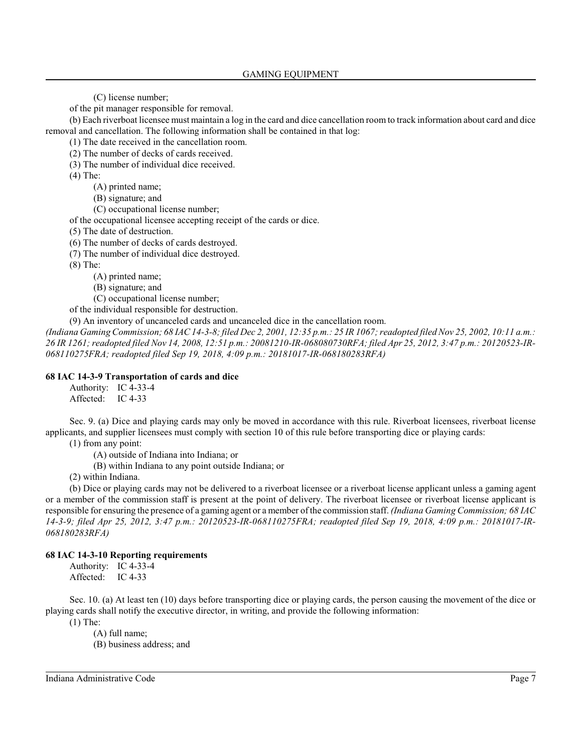(C) license number;

of the pit manager responsible for removal.

(b) Each riverboat licensee must maintain a log in the card and dice cancellation room to track information about card and dice removal and cancellation. The following information shall be contained in that log:

(1) The date received in the cancellation room.

(2) The number of decks of cards received.

(3) The number of individual dice received.

(4) The:

(A) printed name;

(B) signature; and

(C) occupational license number;

of the occupational licensee accepting receipt of the cards or dice.

(5) The date of destruction.

(6) The number of decks of cards destroyed.

(7) The number of individual dice destroyed.

(8) The:

(A) printed name;

(B) signature; and

(C) occupational license number;

of the individual responsible for destruction.

(9) An inventory of uncanceled cards and uncanceled dice in the cancellation room.

*(Indiana Gaming Commission; 68 IAC 14-3-8; filed Dec 2, 2001, 12:35 p.m.: 25 IR 1067; readopted filed Nov 25, 2002, 10:11 a.m.: 26 IR 1261; readopted filed Nov 14, 2008, 12:51 p.m.: 20081210-IR-068080730RFA; filed Apr 25, 2012, 3:47 p.m.: 20120523-IR-068110275FRA; readopted filed Sep 19, 2018, 4:09 p.m.: 20181017-IR-068180283RFA)*

#### **68 IAC 14-3-9 Transportation of cards and dice**

Authority: IC 4-33-4 Affected: IC 4-33

Sec. 9. (a) Dice and playing cards may only be moved in accordance with this rule. Riverboat licensees, riverboat license applicants, and supplier licensees must comply with section 10 of this rule before transporting dice or playing cards:

(1) from any point:

(A) outside of Indiana into Indiana; or

(B) within Indiana to any point outside Indiana; or

(2) within Indiana.

(b) Dice or playing cards may not be delivered to a riverboat licensee or a riverboat license applicant unless a gaming agent or a member of the commission staff is present at the point of delivery. The riverboat licensee or riverboat license applicant is responsible for ensuring the presence of a gaming agent or a member of the commission staff. *(Indiana Gaming Commission; 68 IAC 14-3-9; filed Apr 25, 2012, 3:47 p.m.: 20120523-IR-068110275FRA; readopted filed Sep 19, 2018, 4:09 p.m.: 20181017-IR-068180283RFA)*

## **68 IAC 14-3-10 Reporting requirements**

Authority: IC 4-33-4 Affected: IC 4-33

Sec. 10. (a) At least ten (10) days before transporting dice or playing cards, the person causing the movement of the dice or playing cards shall notify the executive director, in writing, and provide the following information:

(1) The:

(A) full name;

(B) business address; and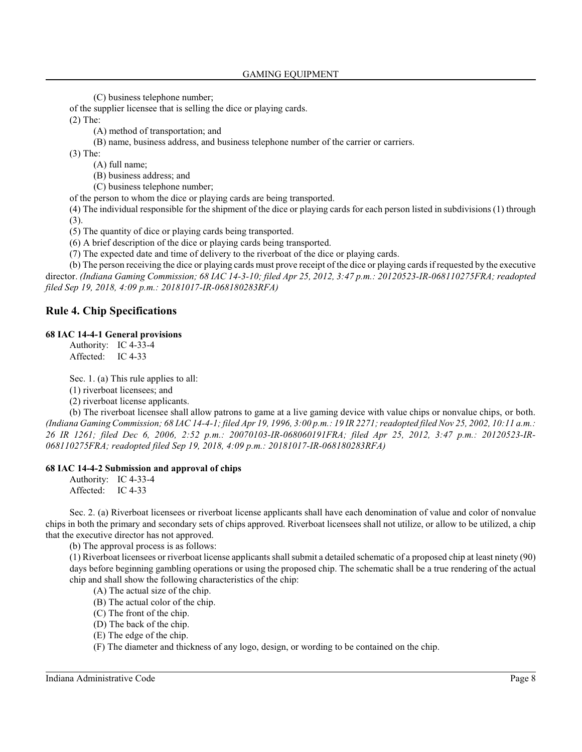(C) business telephone number;

of the supplier licensee that is selling the dice or playing cards.

(2) The:

(A) method of transportation; and

(B) name, business address, and business telephone number of the carrier or carriers.

(3) The:

(A) full name;

(B) business address; and

(C) business telephone number;

of the person to whom the dice or playing cards are being transported.

(4) The individual responsible for the shipment of the dice or playing cards for each person listed in subdivisions (1) through (3).

(5) The quantity of dice or playing cards being transported.

(6) A brief description of the dice or playing cards being transported.

(7) The expected date and time of delivery to the riverboat of the dice or playing cards.

(b) The person receiving the dice or playing cards must prove receipt of the dice or playing cards if requested by the executive director. *(Indiana Gaming Commission; 68 IAC 14-3-10; filed Apr 25, 2012, 3:47 p.m.: 20120523-IR-068110275FRA; readopted filed Sep 19, 2018, 4:09 p.m.: 20181017-IR-068180283RFA)*

## **Rule 4. Chip Specifications**

#### **68 IAC 14-4-1 General provisions**

Authority: IC 4-33-4 Affected: IC 4-33

Sec. 1. (a) This rule applies to all:

(1) riverboat licensees; and

(2) riverboat license applicants.

(b) The riverboat licensee shall allow patrons to game at a live gaming device with value chips or nonvalue chips, or both. *(Indiana Gaming Commission; 68 IAC 14-4-1; filed Apr 19, 1996, 3:00 p.m.: 19 IR 2271; readopted filed Nov 25, 2002, 10:11 a.m.: 26 IR 1261; filed Dec 6, 2006, 2:52 p.m.: 20070103-IR-068060191FRA; filed Apr 25, 2012, 3:47 p.m.: 20120523-IR-068110275FRA; readopted filed Sep 19, 2018, 4:09 p.m.: 20181017-IR-068180283RFA)*

#### **68 IAC 14-4-2 Submission and approval of chips**

Authority: IC 4-33-4 Affected: IC 4-33

Sec. 2. (a) Riverboat licensees or riverboat license applicants shall have each denomination of value and color of nonvalue chips in both the primary and secondary sets of chips approved. Riverboat licensees shall not utilize, or allow to be utilized, a chip that the executive director has not approved.

(b) The approval process is as follows:

(1) Riverboat licensees or riverboat license applicants shall submit a detailed schematic of a proposed chip at least ninety (90) days before beginning gambling operations or using the proposed chip. The schematic shall be a true rendering of the actual chip and shall show the following characteristics of the chip:

(A) The actual size of the chip.

(B) The actual color of the chip.

(C) The front of the chip.

(D) The back of the chip.

(E) The edge of the chip.

(F) The diameter and thickness of any logo, design, or wording to be contained on the chip.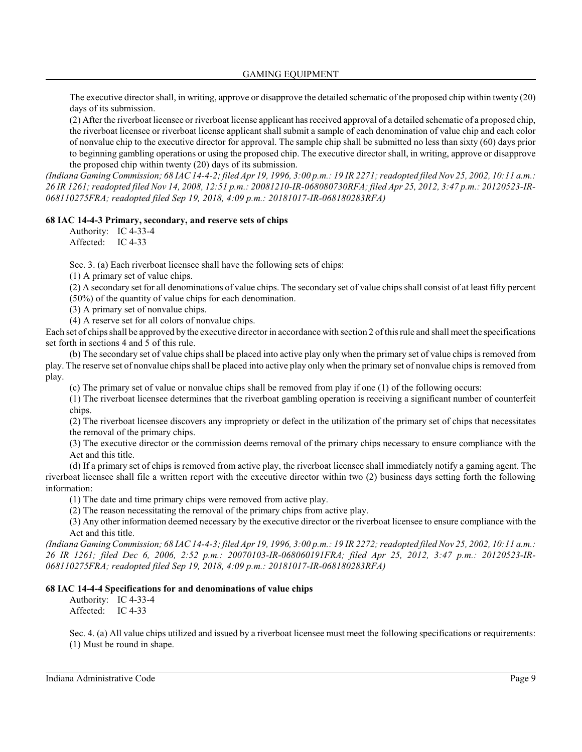The executive director shall, in writing, approve or disapprove the detailed schematic of the proposed chip within twenty (20) days of its submission.

(2) After the riverboat licensee or riverboat license applicant has received approval of a detailed schematic of a proposed chip, the riverboat licensee or riverboat license applicant shall submit a sample of each denomination of value chip and each color of nonvalue chip to the executive director for approval. The sample chip shall be submitted no less than sixty (60) days prior to beginning gambling operations or using the proposed chip. The executive director shall, in writing, approve or disapprove the proposed chip within twenty (20) days of its submission.

*(Indiana Gaming Commission; 68 IAC 14-4-2; filed Apr 19, 1996, 3:00 p.m.: 19 IR 2271; readopted filed Nov 25, 2002, 10:11 a.m.: 26 IR 1261; readopted filed Nov 14, 2008, 12:51 p.m.: 20081210-IR-068080730RFA; filed Apr 25, 2012, 3:47 p.m.: 20120523-IR-068110275FRA; readopted filed Sep 19, 2018, 4:09 p.m.: 20181017-IR-068180283RFA)*

#### **68 IAC 14-4-3 Primary, secondary, and reserve sets of chips**

Authority: IC 4-33-4 Affected: IC 4-33

Sec. 3. (a) Each riverboat licensee shall have the following sets of chips:

(1) A primary set of value chips.

(2) A secondary set for all denominations of value chips. The secondary set of value chips shall consist of at least fifty percent (50%) of the quantity of value chips for each denomination.

(3) A primary set of nonvalue chips.

(4) A reserve set for all colors of nonvalue chips.

Each set of chips shall be approved by the executive director in accordance with section 2 of thisrule and shall meet the specifications set forth in sections 4 and 5 of this rule.

(b) The secondary set of value chips shall be placed into active play only when the primary set of value chips is removed from play. The reserve set of nonvalue chips shall be placed into active play only when the primary set of nonvalue chips is removed from play.

(c) The primary set of value or nonvalue chips shall be removed from play if one (1) of the following occurs:

(1) The riverboat licensee determines that the riverboat gambling operation is receiving a significant number of counterfeit chips.

(2) The riverboat licensee discovers any impropriety or defect in the utilization of the primary set of chips that necessitates the removal of the primary chips.

(3) The executive director or the commission deems removal of the primary chips necessary to ensure compliance with the Act and this title.

(d) If a primary set of chips is removed from active play, the riverboat licensee shall immediately notify a gaming agent. The riverboat licensee shall file a written report with the executive director within two (2) business days setting forth the following information:

(1) The date and time primary chips were removed from active play.

(2) The reason necessitating the removal of the primary chips from active play.

(3) Any other information deemed necessary by the executive director or the riverboat licensee to ensure compliance with the Act and this title.

*(Indiana Gaming Commission; 68 IAC 14-4-3; filed Apr 19, 1996, 3:00 p.m.: 19 IR 2272; readopted filed Nov 25, 2002, 10:11 a.m.: 26 IR 1261; filed Dec 6, 2006, 2:52 p.m.: 20070103-IR-068060191FRA; filed Apr 25, 2012, 3:47 p.m.: 20120523-IR-068110275FRA; readopted filed Sep 19, 2018, 4:09 p.m.: 20181017-IR-068180283RFA)*

#### **68 IAC 14-4-4 Specifications for and denominations of value chips**

Authority: IC 4-33-4 Affected: IC 4-33

Sec. 4. (a) All value chips utilized and issued by a riverboat licensee must meet the following specifications or requirements: (1) Must be round in shape.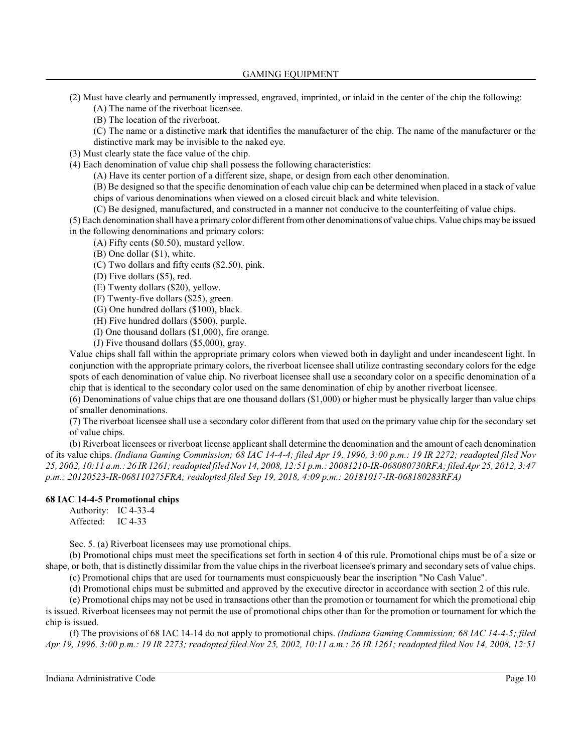- (2) Must have clearly and permanently impressed, engraved, imprinted, or inlaid in the center of the chip the following:
	- (A) The name of the riverboat licensee.
	- (B) The location of the riverboat.
	- (C) The name or a distinctive mark that identifies the manufacturer of the chip. The name of the manufacturer or the
	- distinctive mark may be invisible to the naked eye.
- (3) Must clearly state the face value of the chip.
- (4) Each denomination of value chip shall possess the following characteristics:

(A) Have its center portion of a different size, shape, or design from each other denomination.

(B) Be designed so that the specific denomination of each value chip can be determined when placed in a stack of value chips of various denominations when viewed on a closed circuit black and white television.

(C) Be designed, manufactured, and constructed in a manner not conducive to the counterfeiting of value chips.

(5) Each denomination shall have a primary color different fromother denominations of value chips. Value chips may be issued in the following denominations and primary colors:

(A) Fifty cents (\$0.50), mustard yellow.

- (B) One dollar (\$1), white.
- (C) Two dollars and fifty cents (\$2.50), pink.
- (D) Five dollars (\$5), red.
- (E) Twenty dollars (\$20), yellow.
- (F) Twenty-five dollars (\$25), green.
- (G) One hundred dollars (\$100), black.
- (H) Five hundred dollars (\$500), purple.
- (I) One thousand dollars (\$1,000), fire orange.
- (J) Five thousand dollars (\$5,000), gray.

Value chips shall fall within the appropriate primary colors when viewed both in daylight and under incandescent light. In conjunction with the appropriate primary colors, the riverboat licensee shall utilize contrasting secondary colors for the edge spots of each denomination of value chip. No riverboat licensee shall use a secondary color on a specific denomination of a chip that is identical to the secondary color used on the same denomination of chip by another riverboat licensee.

(6) Denominations of value chips that are one thousand dollars (\$1,000) or higher must be physically larger than value chips of smaller denominations.

(7) The riverboat licensee shall use a secondary color different from that used on the primary value chip for the secondary set of value chips.

(b) Riverboat licensees or riverboat license applicant shall determine the denomination and the amount of each denomination of its value chips. *(Indiana Gaming Commission; 68 IAC 14-4-4; filed Apr 19, 1996, 3:00 p.m.: 19 IR 2272; readopted filed Nov 25, 2002, 10:11 a.m.: 26 IR 1261; readopted filed Nov 14, 2008, 12:51 p.m.: 20081210-IR-068080730RFA; filed Apr 25, 2012, 3:47 p.m.: 20120523-IR-068110275FRA; readopted filed Sep 19, 2018, 4:09 p.m.: 20181017-IR-068180283RFA)*

## **68 IAC 14-4-5 Promotional chips**

Authority: IC 4-33-4 Affected: IC 4-33

Sec. 5. (a) Riverboat licensees may use promotional chips.

(b) Promotional chips must meet the specifications set forth in section 4 of this rule. Promotional chips must be of a size or shape, or both, that is distinctly dissimilar from the value chips in the riverboat licensee's primary and secondary sets of value chips.

(c) Promotional chips that are used for tournaments must conspicuously bear the inscription "No Cash Value".

(d) Promotional chips must be submitted and approved by the executive director in accordance with section 2 of this rule.

(e) Promotional chips may not be used in transactions other than the promotion or tournament for which the promotional chip is issued. Riverboat licensees may not permit the use of promotional chips other than for the promotion or tournament for which the chip is issued.

(f) The provisions of 68 IAC 14-14 do not apply to promotional chips. *(Indiana Gaming Commission; 68 IAC 14-4-5; filed Apr 19, 1996, 3:00 p.m.: 19 IR 2273; readopted filed Nov 25, 2002, 10:11 a.m.: 26 IR 1261; readopted filed Nov 14, 2008, 12:51*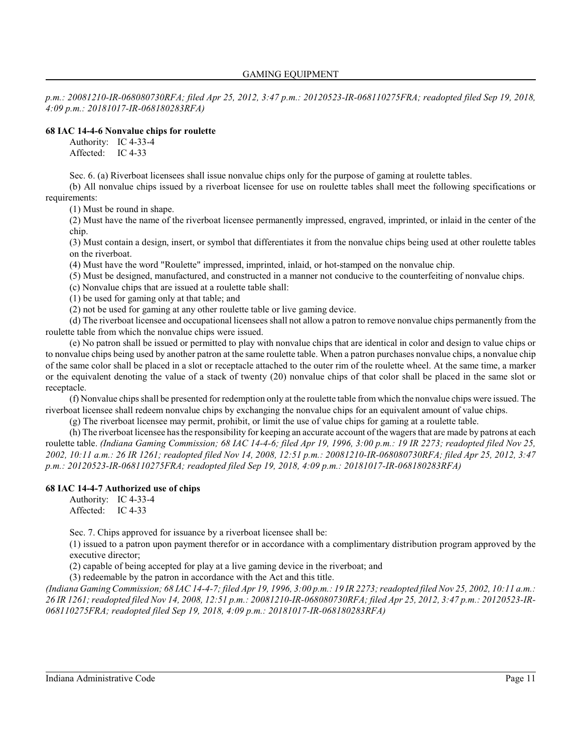*p.m.: 20081210-IR-068080730RFA; filed Apr 25, 2012, 3:47 p.m.: 20120523-IR-068110275FRA; readopted filed Sep 19, 2018, 4:09 p.m.: 20181017-IR-068180283RFA)*

#### **68 IAC 14-4-6 Nonvalue chips for roulette**

Authority: IC 4-33-4 Affected: IC 4-33

Sec. 6. (a) Riverboat licensees shall issue nonvalue chips only for the purpose of gaming at roulette tables.

(b) All nonvalue chips issued by a riverboat licensee for use on roulette tables shall meet the following specifications or requirements:

(1) Must be round in shape.

(2) Must have the name of the riverboat licensee permanently impressed, engraved, imprinted, or inlaid in the center of the chip.

(3) Must contain a design, insert, or symbol that differentiates it from the nonvalue chips being used at other roulette tables on the riverboat.

(4) Must have the word "Roulette" impressed, imprinted, inlaid, or hot-stamped on the nonvalue chip.

(5) Must be designed, manufactured, and constructed in a manner not conducive to the counterfeiting of nonvalue chips.

(c) Nonvalue chips that are issued at a roulette table shall:

(1) be used for gaming only at that table; and

(2) not be used for gaming at any other roulette table or live gaming device.

(d) The riverboat licensee and occupational licensees shall not allow a patron to remove nonvalue chips permanently from the roulette table from which the nonvalue chips were issued.

(e) No patron shall be issued or permitted to play with nonvalue chips that are identical in color and design to value chips or to nonvalue chips being used by another patron at the same roulette table. When a patron purchases nonvalue chips, a nonvalue chip of the same color shall be placed in a slot or receptacle attached to the outer rim of the roulette wheel. At the same time, a marker or the equivalent denoting the value of a stack of twenty (20) nonvalue chips of that color shall be placed in the same slot or receptacle.

(f) Nonvalue chips shall be presented for redemption only at the roulette table from which the nonvalue chips were issued. The riverboat licensee shall redeem nonvalue chips by exchanging the nonvalue chips for an equivalent amount of value chips.

(g) The riverboat licensee may permit, prohibit, or limit the use of value chips for gaming at a roulette table.

(h) The riverboat licensee has the responsibility for keeping an accurate account of the wagers that are made by patrons at each roulette table. *(Indiana Gaming Commission; 68 IAC 14-4-6; filed Apr 19, 1996, 3:00 p.m.: 19 IR 2273; readopted filed Nov 25, 2002, 10:11 a.m.: 26 IR 1261; readopted filed Nov 14, 2008, 12:51 p.m.: 20081210-IR-068080730RFA; filed Apr 25, 2012, 3:47 p.m.: 20120523-IR-068110275FRA; readopted filed Sep 19, 2018, 4:09 p.m.: 20181017-IR-068180283RFA)*

## **68 IAC 14-4-7 Authorized use of chips**

Authority: IC 4-33-4 Affected: IC 4-33

Sec. 7. Chips approved for issuance by a riverboat licensee shall be:

(1) issued to a patron upon payment therefor or in accordance with a complimentary distribution program approved by the executive director;

(2) capable of being accepted for play at a live gaming device in the riverboat; and

(3) redeemable by the patron in accordance with the Act and this title.

*(Indiana Gaming Commission; 68 IAC 14-4-7; filed Apr 19, 1996, 3:00 p.m.: 19 IR 2273; readopted filed Nov 25, 2002, 10:11 a.m.: 26 IR 1261; readopted filed Nov 14, 2008, 12:51 p.m.: 20081210-IR-068080730RFA; filed Apr 25, 2012, 3:47 p.m.: 20120523-IR-068110275FRA; readopted filed Sep 19, 2018, 4:09 p.m.: 20181017-IR-068180283RFA)*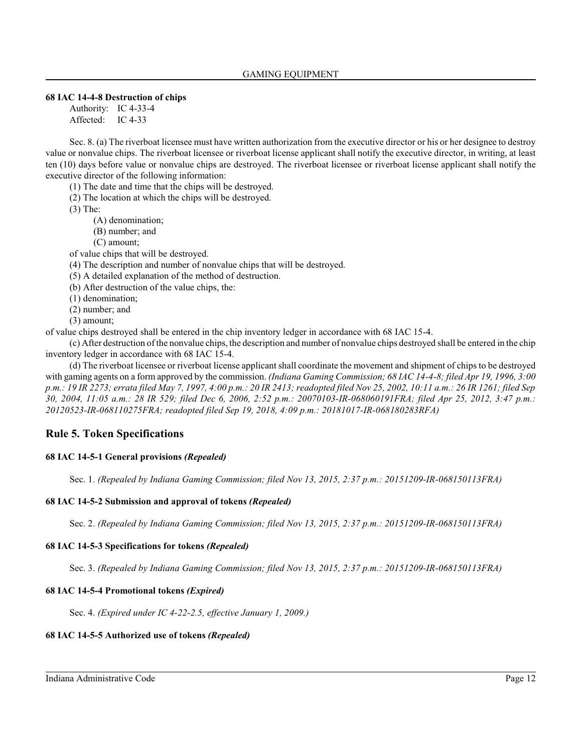## **68 IAC 14-4-8 Destruction of chips**

Authority: IC 4-33-4 Affected: IC 4-33

Sec. 8. (a) The riverboat licensee must have written authorization from the executive director or his or her designee to destroy value or nonvalue chips. The riverboat licensee or riverboat license applicant shall notify the executive director, in writing, at least ten (10) days before value or nonvalue chips are destroyed. The riverboat licensee or riverboat license applicant shall notify the executive director of the following information:

(1) The date and time that the chips will be destroyed.

(2) The location at which the chips will be destroyed.

(3) The:

(A) denomination;

(B) number; and

(C) amount;

of value chips that will be destroyed.

(4) The description and number of nonvalue chips that will be destroyed.

(5) A detailed explanation of the method of destruction.

(b) After destruction of the value chips, the:

(1) denomination;

(2) number; and

(3) amount;

of value chips destroyed shall be entered in the chip inventory ledger in accordance with 68 IAC 15-4.

(c) After destruction of the nonvalue chips, the description and number of nonvalue chips destroyed shall be entered in the chip inventory ledger in accordance with 68 IAC 15-4.

(d) The riverboat licensee or riverboat license applicant shall coordinate the movement and shipment of chips to be destroyed with gaming agents on a form approved by the commission. *(Indiana Gaming Commission; 68 IAC 14-4-8; filed Apr 19, 1996, 3:00 p.m.: 19 IR 2273; errata filed May 7, 1997, 4:00 p.m.: 20 IR 2413; readopted filed Nov 25, 2002, 10:11 a.m.: 26 IR 1261; filed Sep 30, 2004, 11:05 a.m.: 28 IR 529; filed Dec 6, 2006, 2:52 p.m.: 20070103-IR-068060191FRA; filed Apr 25, 2012, 3:47 p.m.: 20120523-IR-068110275FRA; readopted filed Sep 19, 2018, 4:09 p.m.: 20181017-IR-068180283RFA)*

## **Rule 5. Token Specifications**

## **68 IAC 14-5-1 General provisions** *(Repealed)*

Sec. 1. *(Repealed by Indiana Gaming Commission; filed Nov 13, 2015, 2:37 p.m.: 20151209-IR-068150113FRA)*

## **68 IAC 14-5-2 Submission and approval of tokens** *(Repealed)*

Sec. 2. *(Repealed by Indiana Gaming Commission; filed Nov 13, 2015, 2:37 p.m.: 20151209-IR-068150113FRA)*

## **68 IAC 14-5-3 Specifications for tokens** *(Repealed)*

Sec. 3. *(Repealed by Indiana Gaming Commission; filed Nov 13, 2015, 2:37 p.m.: 20151209-IR-068150113FRA)*

## **68 IAC 14-5-4 Promotional tokens** *(Expired)*

Sec. 4. *(Expired under IC 4-22-2.5, effective January 1, 2009.)*

## **68 IAC 14-5-5 Authorized use of tokens** *(Repealed)*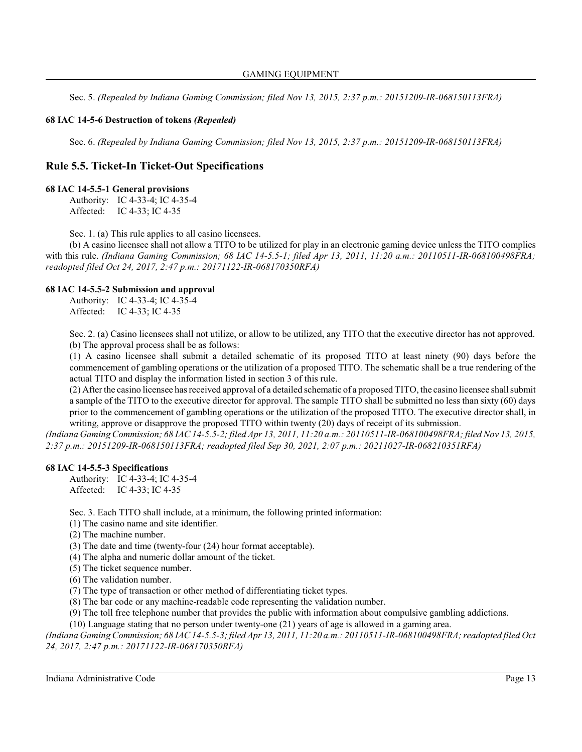Sec. 5. *(Repealed by Indiana Gaming Commission; filed Nov 13, 2015, 2:37 p.m.: 20151209-IR-068150113FRA)*

## **68 IAC 14-5-6 Destruction of tokens** *(Repealed)*

Sec. 6. *(Repealed by Indiana Gaming Commission; filed Nov 13, 2015, 2:37 p.m.: 20151209-IR-068150113FRA)*

## **Rule 5.5. Ticket-In Ticket-Out Specifications**

#### **68 IAC 14-5.5-1 General provisions**

Authority: IC 4-33-4; IC 4-35-4 Affected: IC 4-33; IC 4-35

Sec. 1. (a) This rule applies to all casino licensees.

(b) A casino licensee shall not allow a TITO to be utilized for play in an electronic gaming device unless the TITO complies with this rule. *(Indiana Gaming Commission; 68 IAC 14-5.5-1; filed Apr 13, 2011, 11:20 a.m.: 20110511-IR-068100498FRA; readopted filed Oct 24, 2017, 2:47 p.m.: 20171122-IR-068170350RFA)*

#### **68 IAC 14-5.5-2 Submission and approval**

Authority: IC 4-33-4; IC 4-35-4 Affected: IC 4-33; IC 4-35

Sec. 2. (a) Casino licensees shall not utilize, or allow to be utilized, any TITO that the executive director has not approved. (b) The approval process shall be as follows:

(1) A casino licensee shall submit a detailed schematic of its proposed TITO at least ninety (90) days before the commencement of gambling operations or the utilization of a proposed TITO. The schematic shall be a true rendering of the actual TITO and display the information listed in section 3 of this rule.

(2) After the casino licensee has received approval of a detailed schematic of a proposed TITO, the casino licensee shall submit a sample of the TITO to the executive director for approval. The sample TITO shall be submitted no less than sixty (60) days prior to the commencement of gambling operations or the utilization of the proposed TITO. The executive director shall, in writing, approve or disapprove the proposed TITO within twenty (20) days of receipt of its submission.

*(Indiana Gaming Commission; 68 IAC 14-5.5-2; filed Apr 13, 2011, 11:20 a.m.: 20110511-IR-068100498FRA; filed Nov 13, 2015, 2:37 p.m.: 20151209-IR-068150113FRA; readopted filed Sep 30, 2021, 2:07 p.m.: 20211027-IR-068210351RFA)*

#### **68 IAC 14-5.5-3 Specifications**

Authority: IC 4-33-4; IC 4-35-4 Affected: IC 4-33; IC 4-35

Sec. 3. Each TITO shall include, at a minimum, the following printed information:

- (1) The casino name and site identifier.
- (2) The machine number.
- (3) The date and time (twenty-four (24) hour format acceptable).
- (4) The alpha and numeric dollar amount of the ticket.
- (5) The ticket sequence number.
- (6) The validation number.
- (7) The type of transaction or other method of differentiating ticket types.
- (8) The bar code or any machine-readable code representing the validation number.
- (9) The toll free telephone number that provides the public with information about compulsive gambling addictions.

(10) Language stating that no person under twenty-one (21) years of age is allowed in a gaming area.

*(Indiana Gaming Commission; 68 IAC 14-5.5-3;filed Apr 13, 2011, 11:20 a.m.: 20110511-IR-068100498FRA; readopted filed Oct 24, 2017, 2:47 p.m.: 20171122-IR-068170350RFA)*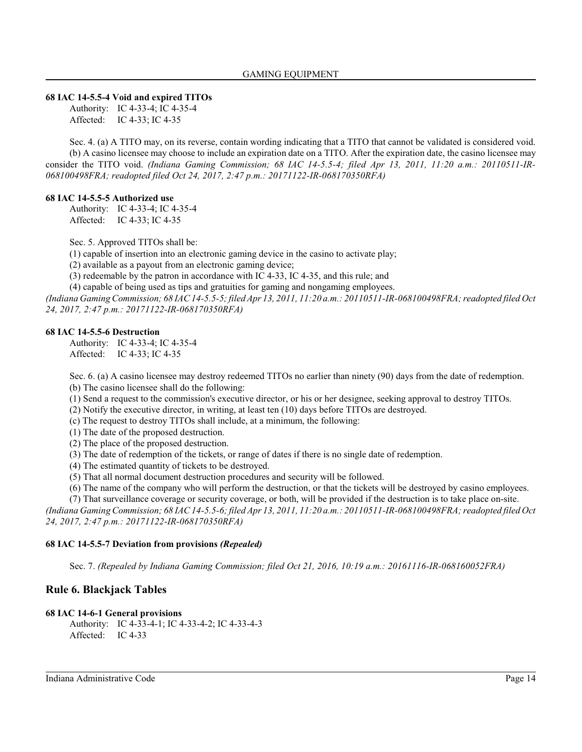#### **68 IAC 14-5.5-4 Void and expired TITOs**

Authority: IC 4-33-4; IC 4-35-4 Affected: IC 4-33; IC 4-35

Sec. 4. (a) A TITO may, on its reverse, contain wording indicating that a TITO that cannot be validated is considered void. (b) A casino licensee may choose to include an expiration date on a TITO. After the expiration date, the casino licensee may consider the TITO void. *(Indiana Gaming Commission; 68 IAC 14-5.5-4; filed Apr 13, 2011, 11:20 a.m.: 20110511-IR-068100498FRA; readopted filed Oct 24, 2017, 2:47 p.m.: 20171122-IR-068170350RFA)*

#### **68 IAC 14-5.5-5 Authorized use**

Authority: IC 4-33-4; IC 4-35-4 Affected: IC 4-33; IC 4-35

Sec. 5. Approved TITOs shall be:

(1) capable of insertion into an electronic gaming device in the casino to activate play;

(2) available as a payout from an electronic gaming device;

(3) redeemable by the patron in accordance with IC 4-33, IC 4-35, and this rule; and

(4) capable of being used as tips and gratuities for gaming and nongaming employees.

*(Indiana Gaming Commission; 68 IAC 14-5.5-5; filed Apr 13, 2011, 11:20 a.m.: 20110511-IR-068100498FRA; readopted filed Oct 24, 2017, 2:47 p.m.: 20171122-IR-068170350RFA)*

#### **68 IAC 14-5.5-6 Destruction**

Authority: IC 4-33-4; IC 4-35-4 Affected: IC 4-33; IC 4-35

Sec. 6. (a) A casino licensee may destroy redeemed TITOs no earlier than ninety (90) days from the date of redemption. (b) The casino licensee shall do the following:

(1) Send a request to the commission's executive director, or his or her designee, seeking approval to destroy TITOs.

(2) Notify the executive director, in writing, at least ten (10) days before TITOs are destroyed.

(c) The request to destroy TITOs shall include, at a minimum, the following:

(1) The date of the proposed destruction.

(2) The place of the proposed destruction.

(3) The date of redemption of the tickets, or range of dates if there is no single date of redemption.

(4) The estimated quantity of tickets to be destroyed.

(5) That all normal document destruction procedures and security will be followed.

(6) The name of the company who will perform the destruction, or that the tickets will be destroyed by casino employees.

(7) That surveillance coverage or security coverage, or both, will be provided if the destruction is to take place on-site.

*(Indiana Gaming Commission; 68 IAC 14-5.5-6; filed Apr 13, 2011, 11:20 a.m.: 20110511-IR-068100498FRA; readopted filed Oct 24, 2017, 2:47 p.m.: 20171122-IR-068170350RFA)*

## **68 IAC 14-5.5-7 Deviation from provisions** *(Repealed)*

Sec. 7. *(Repealed by Indiana Gaming Commission; filed Oct 21, 2016, 10:19 a.m.: 20161116-IR-068160052FRA)*

## **Rule 6. Blackjack Tables**

#### **68 IAC 14-6-1 General provisions**

Authority: IC 4-33-4-1; IC 4-33-4-2; IC 4-33-4-3 Affected: IC 4-33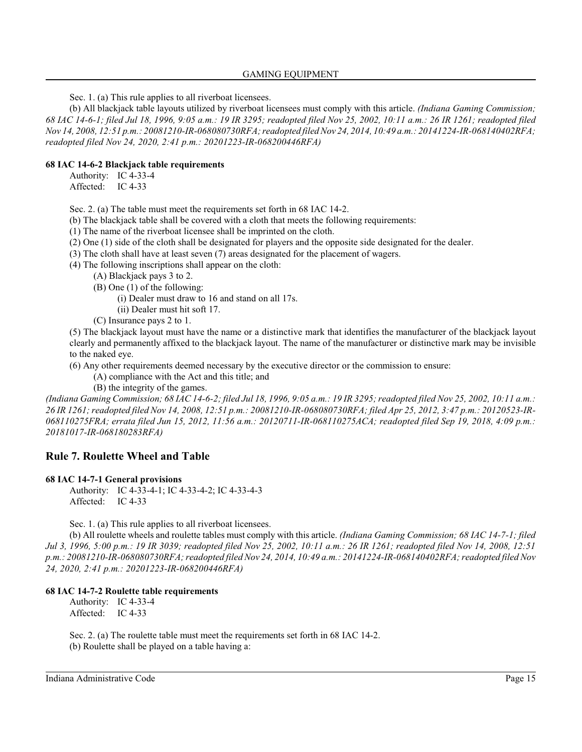Sec. 1. (a) This rule applies to all riverboat licensees.

(b) All blackjack table layouts utilized by riverboat licensees must comply with this article. *(Indiana Gaming Commission; 68 IAC 14-6-1; filed Jul 18, 1996, 9:05 a.m.: 19 IR 3295; readopted filed Nov 25, 2002, 10:11 a.m.: 26 IR 1261; readopted filed Nov 14, 2008, 12:51 p.m.: 20081210-IR-068080730RFA; readopted filed Nov 24, 2014, 10:49 a.m.: 20141224-IR-068140402RFA; readopted filed Nov 24, 2020, 2:41 p.m.: 20201223-IR-068200446RFA)*

## **68 IAC 14-6-2 Blackjack table requirements**

Authority: IC 4-33-4 Affected: IC 4-33

Sec. 2. (a) The table must meet the requirements set forth in 68 IAC 14-2.

(b) The blackjack table shall be covered with a cloth that meets the following requirements:

(1) The name of the riverboat licensee shall be imprinted on the cloth.

(2) One (1) side of the cloth shall be designated for players and the opposite side designated for the dealer.

(3) The cloth shall have at least seven (7) areas designated for the placement of wagers.

(4) The following inscriptions shall appear on the cloth:

(A) Blackjack pays 3 to 2.

(B) One (1) of the following:

(i) Dealer must draw to 16 and stand on all 17s.

(ii) Dealer must hit soft 17.

(C) Insurance pays 2 to 1.

(5) The blackjack layout must have the name or a distinctive mark that identifies the manufacturer of the blackjack layout clearly and permanently affixed to the blackjack layout. The name of the manufacturer or distinctive mark may be invisible to the naked eye.

(6) Any other requirements deemed necessary by the executive director or the commission to ensure:

(A) compliance with the Act and this title; and

(B) the integrity of the games.

*(Indiana Gaming Commission; 68 IAC 14-6-2; filed Jul 18, 1996, 9:05 a.m.: 19 IR 3295; readopted filed Nov 25, 2002, 10:11 a.m.: 26 IR 1261; readopted filed Nov 14, 2008, 12:51 p.m.: 20081210-IR-068080730RFA; filed Apr 25, 2012, 3:47 p.m.: 20120523-IR-068110275FRA; errata filed Jun 15, 2012, 11:56 a.m.: 20120711-IR-068110275ACA; readopted filed Sep 19, 2018, 4:09 p.m.: 20181017-IR-068180283RFA)*

## **Rule 7. Roulette Wheel and Table**

#### **68 IAC 14-7-1 General provisions**

Authority: IC 4-33-4-1; IC 4-33-4-2; IC 4-33-4-3 Affected: IC 4-33

Sec. 1. (a) This rule applies to all riverboat licensees.

(b) All roulette wheels and roulette tables must comply with this article. *(Indiana Gaming Commission; 68 IAC 14-7-1; filed Jul 3, 1996, 5:00 p.m.: 19 IR 3039; readopted filed Nov 25, 2002, 10:11 a.m.: 26 IR 1261; readopted filed Nov 14, 2008, 12:51 p.m.: 20081210-IR-068080730RFA; readopted filed Nov 24, 2014, 10:49 a.m.: 20141224-IR-068140402RFA; readopted filed Nov 24, 2020, 2:41 p.m.: 20201223-IR-068200446RFA)*

#### **68 IAC 14-7-2 Roulette table requirements**

Authority: IC 4-33-4 Affected: IC 4-33

Sec. 2. (a) The roulette table must meet the requirements set forth in 68 IAC 14-2. (b) Roulette shall be played on a table having a: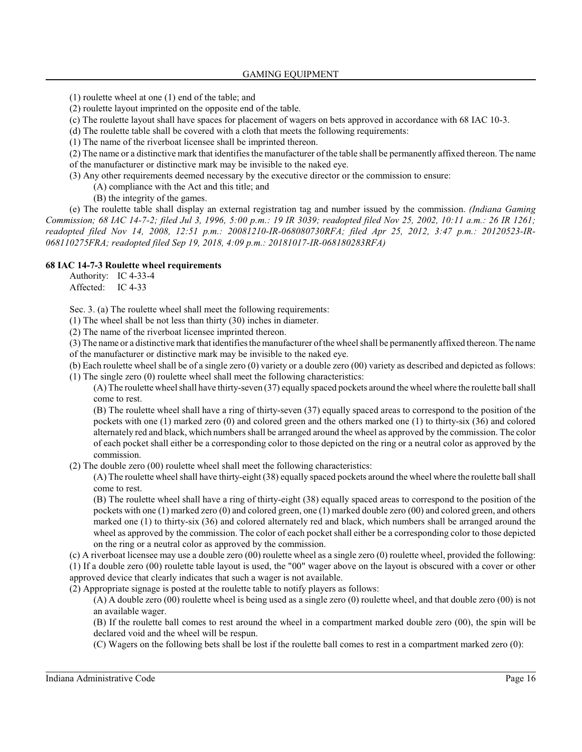- (1) roulette wheel at one (1) end of the table; and
- (2) roulette layout imprinted on the opposite end of the table.
- (c) The roulette layout shall have spaces for placement of wagers on bets approved in accordance with 68 IAC 10-3.
- (d) The roulette table shall be covered with a cloth that meets the following requirements:
- (1) The name of the riverboat licensee shall be imprinted thereon.
- (2) The name or a distinctive mark that identifies the manufacturer of the table shall be permanently affixed thereon. The name of the manufacturer or distinctive mark may be invisible to the naked eye.
- (3) Any other requirements deemed necessary by the executive director or the commission to ensure:
	- (A) compliance with the Act and this title; and
	- (B) the integrity of the games.

(e) The roulette table shall display an external registration tag and number issued by the commission. *(Indiana Gaming Commission; 68 IAC 14-7-2; filed Jul 3, 1996, 5:00 p.m.: 19 IR 3039; readopted filed Nov 25, 2002, 10:11 a.m.: 26 IR 1261; readopted filed Nov 14, 2008, 12:51 p.m.: 20081210-IR-068080730RFA; filed Apr 25, 2012, 3:47 p.m.: 20120523-IR-068110275FRA; readopted filed Sep 19, 2018, 4:09 p.m.: 20181017-IR-068180283RFA)*

#### **68 IAC 14-7-3 Roulette wheel requirements**

Authority: IC 4-33-4 Affected: IC 4-33

Sec. 3. (a) The roulette wheel shall meet the following requirements:

(1) The wheel shall be not less than thirty (30) inches in diameter.

(2) The name of the riverboat licensee imprinted thereon.

(3) The name or a distinctive mark that identifiesthe manufacturer of the wheel shall be permanently affixed thereon. The name of the manufacturer or distinctive mark may be invisible to the naked eye.

(b) Each roulette wheel shall be of a single zero (0) variety or a double zero (00) variety as described and depicted as follows: (1) The single zero (0) roulette wheel shall meet the following characteristics:

(A) The roulette wheel shall have thirty-seven (37) equally spaced pockets around the wheel where the roulette ball shall come to rest.

(B) The roulette wheel shall have a ring of thirty-seven (37) equally spaced areas to correspond to the position of the pockets with one (1) marked zero (0) and colored green and the others marked one (1) to thirty-six (36) and colored alternately red and black, which numbers shall be arranged around the wheel as approved by the commission. The color of each pocket shall either be a corresponding color to those depicted on the ring or a neutral color as approved by the commission.

(2) The double zero (00) roulette wheel shall meet the following characteristics:

(A) The roulette wheel shall have thirty-eight (38) equally spaced pockets around the wheel where the roulette ball shall come to rest.

(B) The roulette wheel shall have a ring of thirty-eight (38) equally spaced areas to correspond to the position of the pockets with one (1) marked zero (0) and colored green, one (1) marked double zero (00) and colored green, and others marked one (1) to thirty-six (36) and colored alternately red and black, which numbers shall be arranged around the wheel as approved by the commission. The color of each pocket shall either be a corresponding color to those depicted on the ring or a neutral color as approved by the commission.

(c) A riverboat licensee may use a double zero (00) roulette wheel as a single zero (0) roulette wheel, provided the following:

(1) If a double zero (00) roulette table layout is used, the "00" wager above on the layout is obscured with a cover or other approved device that clearly indicates that such a wager is not available.

(2) Appropriate signage is posted at the roulette table to notify players as follows:

(A) A double zero (00) roulette wheel is being used as a single zero (0) roulette wheel, and that double zero (00) is not an available wager.

(B) If the roulette ball comes to rest around the wheel in a compartment marked double zero (00), the spin will be declared void and the wheel will be respun.

(C) Wagers on the following bets shall be lost if the roulette ball comes to rest in a compartment marked zero (0):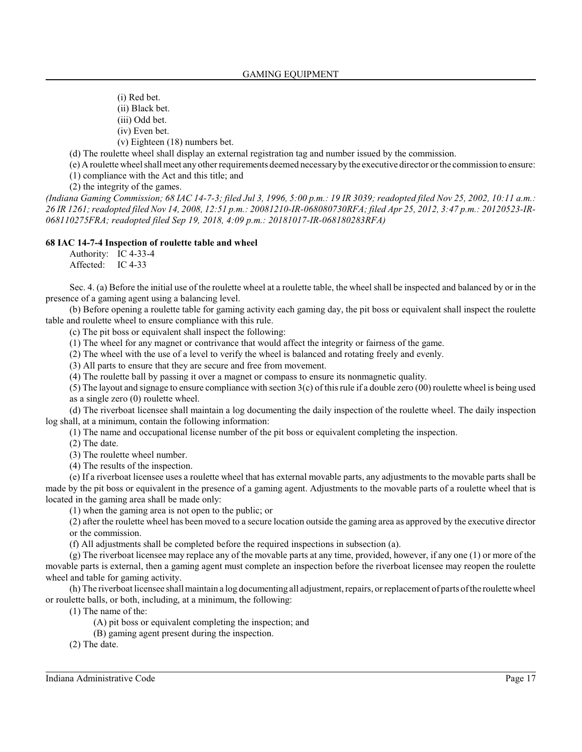(i) Red bet.

(ii) Black bet.

(iii) Odd bet.

(iv) Even bet.

(v) Eighteen (18) numbers bet.

(d) The roulette wheel shall display an external registration tag and number issued by the commission.

(e) A roulette wheel shall meet any other requirements deemed necessary by the executive director orthe commission to ensure: (1) compliance with the Act and this title; and

(2) the integrity of the games.

*(Indiana Gaming Commission; 68 IAC 14-7-3; filed Jul 3, 1996, 5:00 p.m.: 19 IR 3039; readopted filed Nov 25, 2002, 10:11 a.m.: 26 IR 1261; readopted filed Nov 14, 2008, 12:51 p.m.: 20081210-IR-068080730RFA; filed Apr 25, 2012, 3:47 p.m.: 20120523-IR-068110275FRA; readopted filed Sep 19, 2018, 4:09 p.m.: 20181017-IR-068180283RFA)*

#### **68 IAC 14-7-4 Inspection of roulette table and wheel**

Authority: IC 4-33-4 Affected: IC 4-33

Sec. 4. (a) Before the initial use of the roulette wheel at a roulette table, the wheel shall be inspected and balanced by or in the presence of a gaming agent using a balancing level.

(b) Before opening a roulette table for gaming activity each gaming day, the pit boss or equivalent shall inspect the roulette table and roulette wheel to ensure compliance with this rule.

(c) The pit boss or equivalent shall inspect the following:

(1) The wheel for any magnet or contrivance that would affect the integrity or fairness of the game.

(2) The wheel with the use of a level to verify the wheel is balanced and rotating freely and evenly.

(3) All parts to ensure that they are secure and free from movement.

(4) The roulette ball by passing it over a magnet or compass to ensure its nonmagnetic quality.

(5) The layout and signage to ensure compliance with section  $3(c)$  of this rule if a double zero (00) roulette wheel is being used as a single zero (0) roulette wheel.

(d) The riverboat licensee shall maintain a log documenting the daily inspection of the roulette wheel. The daily inspection log shall, at a minimum, contain the following information:

(1) The name and occupational license number of the pit boss or equivalent completing the inspection.

(2) The date.

(3) The roulette wheel number.

(4) The results of the inspection.

(e) If a riverboat licensee uses a roulette wheel that has external movable parts, any adjustments to the movable parts shall be made by the pit boss or equivalent in the presence of a gaming agent. Adjustments to the movable parts of a roulette wheel that is located in the gaming area shall be made only:

(1) when the gaming area is not open to the public; or

(2) after the roulette wheel has been moved to a secure location outside the gaming area as approved by the executive director or the commission.

(f) All adjustments shall be completed before the required inspections in subsection (a).

(g) The riverboat licensee may replace any of the movable parts at any time, provided, however, if any one (1) or more of the movable parts is external, then a gaming agent must complete an inspection before the riverboat licensee may reopen the roulette wheel and table for gaming activity.

(h) The riverboat licensee shall maintain a log documenting all adjustment, repairs, orreplacement of parts of the roulette wheel or roulette balls, or both, including, at a minimum, the following:

(1) The name of the:

(A) pit boss or equivalent completing the inspection; and

(B) gaming agent present during the inspection.

(2) The date.

Indiana Administrative Code Page 17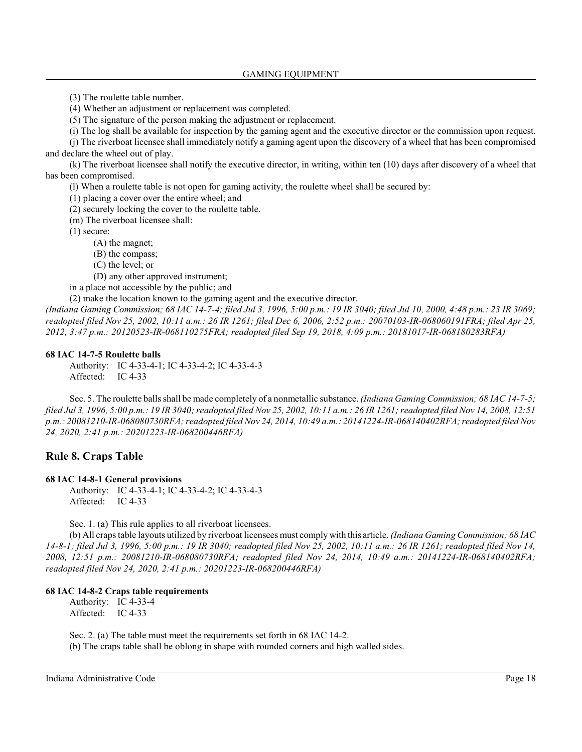(3) The roulette table number.

(4) Whether an adjustment or replacement was completed.

(5) The signature of the person making the adjustment or replacement.

(i) The log shall be available for inspection by the gaming agent and the executive director or the commission upon request.

(j) The riverboat licensee shall immediately notify a gaming agent upon the discovery of a wheel that has been compromised and declare the wheel out of play.

(k) The riverboat licensee shall notify the executive director, in writing, within ten (10) days after discovery of a wheel that has been compromised.

(l) When a roulette table is not open for gaming activity, the roulette wheel shall be secured by:

(1) placing a cover over the entire wheel; and

(2) securely locking the cover to the roulette table.

(m) The riverboat licensee shall:

(1) secure:

(A) the magnet;

(B) the compass;

(C) the level; or

(D) any other approved instrument;

in a place not accessible by the public; and

(2) make the location known to the gaming agent and the executive director.

*(Indiana Gaming Commission; 68 IAC 14-7-4; filed Jul 3, 1996, 5:00 p.m.: 19 IR 3040; filed Jul 10, 2000, 4:48 p.m.: 23 IR 3069; readopted filed Nov 25, 2002, 10:11 a.m.: 26 IR 1261; filed Dec 6, 2006, 2:52 p.m.: 20070103-IR-068060191FRA; filed Apr 25, 2012, 3:47 p.m.: 20120523-IR-068110275FRA; readopted filed Sep 19, 2018, 4:09 p.m.: 20181017-IR-068180283RFA)*

#### **68 IAC 14-7-5 Roulette balls**

Authority: IC 4-33-4-1; IC 4-33-4-2; IC 4-33-4-3 Affected: IC 4-33

Sec. 5. The roulette balls shall be made completely of a nonmetallic substance. *(Indiana Gaming Commission; 68 IAC 14-7-5; filed Jul 3, 1996, 5:00 p.m.: 19 IR 3040; readopted filed Nov 25, 2002, 10:11 a.m.: 26 IR 1261; readopted filed Nov 14, 2008, 12:51 p.m.: 20081210-IR-068080730RFA; readopted filed Nov 24, 2014, 10:49 a.m.: 20141224-IR-068140402RFA; readopted filed Nov 24, 2020, 2:41 p.m.: 20201223-IR-068200446RFA)*

## **Rule 8. Craps Table**

#### **68 IAC 14-8-1 General provisions**

Authority: IC 4-33-4-1; IC 4-33-4-2; IC 4-33-4-3 Affected: IC 4-33

Sec. 1. (a) This rule applies to all riverboat licensees.

(b) All craps table layouts utilized by riverboat licensees must comply with this article. *(Indiana Gaming Commission; 68 IAC 14-8-1; filed Jul 3, 1996, 5:00 p.m.: 19 IR 3040; readopted filed Nov 25, 2002, 10:11 a.m.: 26 IR 1261; readopted filed Nov 14, 2008, 12:51 p.m.: 20081210-IR-068080730RFA; readopted filed Nov 24, 2014, 10:49 a.m.: 20141224-IR-068140402RFA; readopted filed Nov 24, 2020, 2:41 p.m.: 20201223-IR-068200446RFA)*

#### **68 IAC 14-8-2 Craps table requirements**

Authority: IC 4-33-4 Affected: IC 4-33

Sec. 2. (a) The table must meet the requirements set forth in 68 IAC 14-2.

(b) The craps table shall be oblong in shape with rounded corners and high walled sides.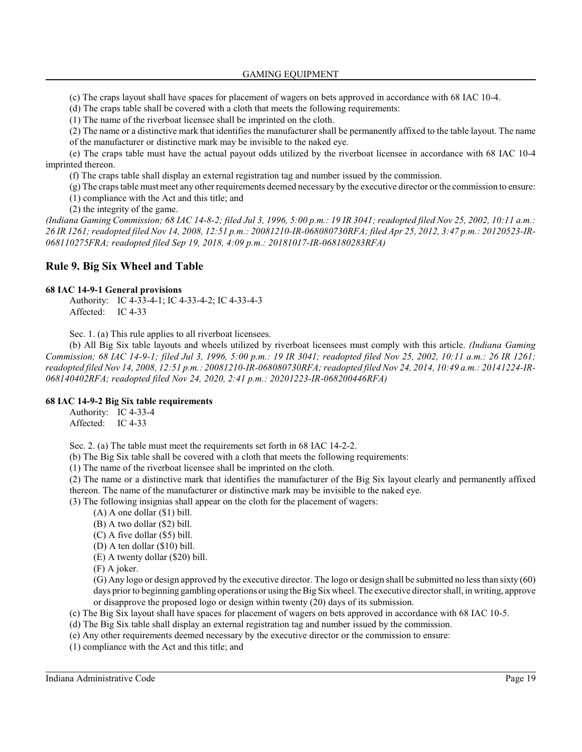GAMING EQUIPMENT

(c) The craps layout shall have spaces for placement of wagers on bets approved in accordance with 68 IAC 10-4.

(d) The craps table shall be covered with a cloth that meets the following requirements:

(1) The name of the riverboat licensee shall be imprinted on the cloth.

(2) The name or a distinctive mark that identifiesthe manufacturer shall be permanently affixed to the table layout. The name of the manufacturer or distinctive mark may be invisible to the naked eye.

(e) The craps table must have the actual payout odds utilized by the riverboat licensee in accordance with 68 IAC 10-4 imprinted thereon.

(f) The craps table shall display an external registration tag and number issued by the commission.

(g) The craps table mustmeet any other requirements deemed necessary by the executive director or the commission to ensure:

(1) compliance with the Act and this title; and

(2) the integrity of the game.

*(Indiana Gaming Commission; 68 IAC 14-8-2; filed Jul 3, 1996, 5:00 p.m.: 19 IR 3041; readopted filed Nov 25, 2002, 10:11 a.m.: 26 IR 1261; readopted filed Nov 14, 2008, 12:51 p.m.: 20081210-IR-068080730RFA; filed Apr 25, 2012, 3:47 p.m.: 20120523-IR-068110275FRA; readopted filed Sep 19, 2018, 4:09 p.m.: 20181017-IR-068180283RFA)*

## **Rule 9. Big Six Wheel and Table**

#### **68 IAC 14-9-1 General provisions**

Authority: IC 4-33-4-1; IC 4-33-4-2; IC 4-33-4-3 Affected: IC 4-33

Sec. 1. (a) This rule applies to all riverboat licensees.

(b) All Big Six table layouts and wheels utilized by riverboat licensees must comply with this article. *(Indiana Gaming Commission; 68 IAC 14-9-1; filed Jul 3, 1996, 5:00 p.m.: 19 IR 3041; readopted filed Nov 25, 2002, 10:11 a.m.: 26 IR 1261; readopted filed Nov 14, 2008, 12:51 p.m.: 20081210-IR-068080730RFA; readopted filed Nov 24, 2014, 10:49 a.m.: 20141224-IR-068140402RFA; readopted filed Nov 24, 2020, 2:41 p.m.: 20201223-IR-068200446RFA)*

## **68 IAC 14-9-2 Big Six table requirements**

Authority: IC 4-33-4 Affected: IC 4-33

Sec. 2. (a) The table must meet the requirements set forth in 68 IAC 14-2-2.

(b) The Big Six table shall be covered with a cloth that meets the following requirements:

(1) The name of the riverboat licensee shall be imprinted on the cloth.

(2) The name or a distinctive mark that identifies the manufacturer of the Big Six layout clearly and permanently affixed thereon. The name of the manufacturer or distinctive mark may be invisible to the naked eye.

(3) The following insignias shall appear on the cloth for the placement of wagers:

(A) A one dollar (\$1) bill.

(B) A two dollar (\$2) bill.

(C) A five dollar (\$5) bill.

(D) A ten dollar (\$10) bill.

(E) A twenty dollar (\$20) bill.

(F) A joker.

(G) Any logo or design approved by the executive director. The logo or design shall be submitted no less than sixty (60) days prior to beginning gambling operations or using the Big Six wheel. The executive director shall, in writing, approve or disapprove the proposed logo or design within twenty (20) days of its submission.

(c) The Big Six layout shall have spaces for placement of wagers on bets approved in accordance with 68 IAC 10-5.

- (d) The Big Six table shall display an external registration tag and number issued by the commission.
- (e) Any other requirements deemed necessary by the executive director or the commission to ensure:

(1) compliance with the Act and this title; and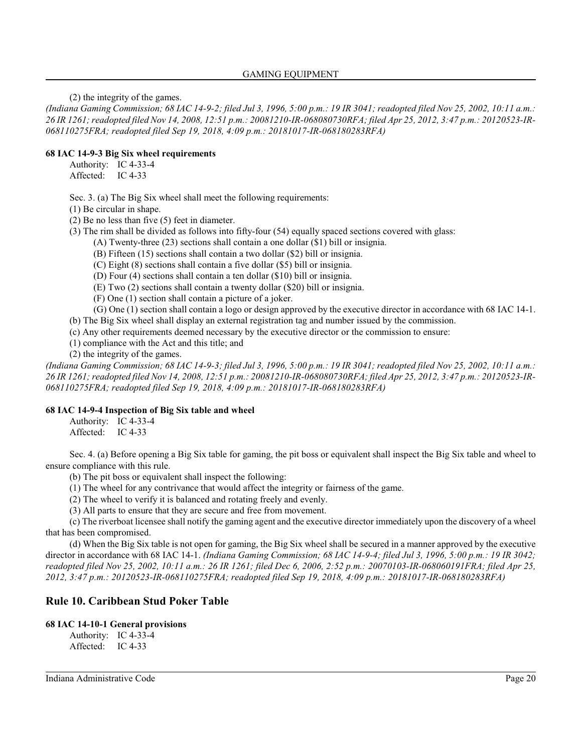(2) the integrity of the games.

*(Indiana Gaming Commission; 68 IAC 14-9-2; filed Jul 3, 1996, 5:00 p.m.: 19 IR 3041; readopted filed Nov 25, 2002, 10:11 a.m.: 26 IR 1261; readopted filed Nov 14, 2008, 12:51 p.m.: 20081210-IR-068080730RFA; filed Apr 25, 2012, 3:47 p.m.: 20120523-IR-068110275FRA; readopted filed Sep 19, 2018, 4:09 p.m.: 20181017-IR-068180283RFA)*

## **68 IAC 14-9-3 Big Six wheel requirements**

Authority: IC 4-33-4 Affected: IC 4-33

Sec. 3. (a) The Big Six wheel shall meet the following requirements:

(1) Be circular in shape.

(2) Be no less than five (5) feet in diameter.

(3) The rim shall be divided as follows into fifty-four (54) equally spaced sections covered with glass:

(A) Twenty-three (23) sections shall contain a one dollar (\$1) bill or insignia.

(B) Fifteen (15) sections shall contain a two dollar (\$2) bill or insignia.

(C) Eight (8) sections shall contain a five dollar (\$5) bill or insignia.

(D) Four (4) sections shall contain a ten dollar (\$10) bill or insignia.

(E) Two (2) sections shall contain a twenty dollar (\$20) bill or insignia.

(F) One (1) section shall contain a picture of a joker.

(G) One (1) section shall contain a logo or design approved by the executive director in accordance with 68 IAC 14-1.

(b) The Big Six wheel shall display an external registration tag and number issued by the commission.

(c) Any other requirements deemed necessary by the executive director or the commission to ensure:

(1) compliance with the Act and this title; and

(2) the integrity of the games.

*(Indiana Gaming Commission; 68 IAC 14-9-3; filed Jul 3, 1996, 5:00 p.m.: 19 IR 3041; readopted filed Nov 25, 2002, 10:11 a.m.: 26 IR 1261; readopted filed Nov 14, 2008, 12:51 p.m.: 20081210-IR-068080730RFA; filed Apr 25, 2012, 3:47 p.m.: 20120523-IR-068110275FRA; readopted filed Sep 19, 2018, 4:09 p.m.: 20181017-IR-068180283RFA)*

## **68 IAC 14-9-4 Inspection of Big Six table and wheel**

Authority: IC 4-33-4 Affected: IC 4-33

Sec. 4. (a) Before opening a Big Six table for gaming, the pit boss or equivalent shall inspect the Big Six table and wheel to ensure compliance with this rule.

(b) The pit boss or equivalent shall inspect the following:

- (1) The wheel for any contrivance that would affect the integrity or fairness of the game.
- (2) The wheel to verify it is balanced and rotating freely and evenly.
- (3) All parts to ensure that they are secure and free from movement.

(c) The riverboat licensee shall notify the gaming agent and the executive director immediately upon the discovery of a wheel that has been compromised.

(d) When the Big Six table is not open for gaming, the Big Six wheel shall be secured in a manner approved by the executive director in accordance with 68 IAC 14-1. *(Indiana Gaming Commission; 68 IAC 14-9-4; filed Jul 3, 1996, 5:00 p.m.: 19 IR 3042; readopted filed Nov 25, 2002, 10:11 a.m.: 26 IR 1261; filed Dec 6, 2006, 2:52 p.m.: 20070103-IR-068060191FRA; filed Apr 25, 2012, 3:47 p.m.: 20120523-IR-068110275FRA; readopted filed Sep 19, 2018, 4:09 p.m.: 20181017-IR-068180283RFA)*

## **Rule 10. Caribbean Stud Poker Table**

## **68 IAC 14-10-1 General provisions**

Authority: IC 4-33-4 Affected: IC 4-33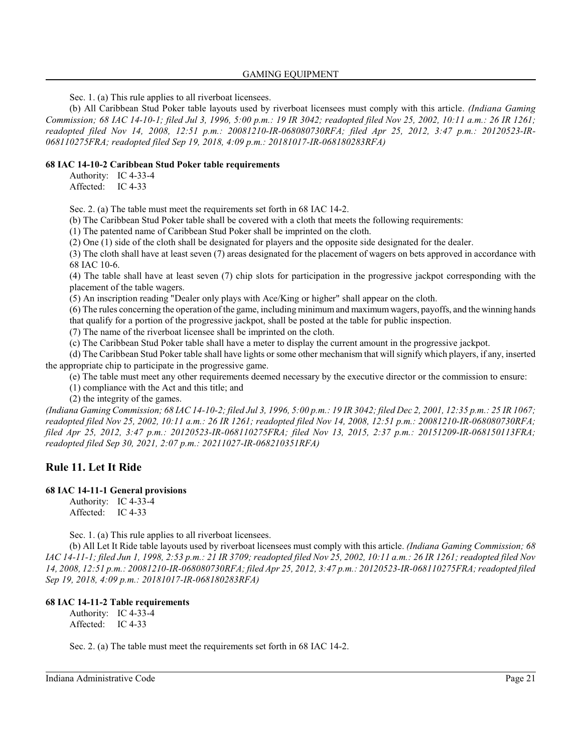Sec. 1. (a) This rule applies to all riverboat licensees.

(b) All Caribbean Stud Poker table layouts used by riverboat licensees must comply with this article. *(Indiana Gaming Commission; 68 IAC 14-10-1; filed Jul 3, 1996, 5:00 p.m.: 19 IR 3042; readopted filed Nov 25, 2002, 10:11 a.m.: 26 IR 1261; readopted filed Nov 14, 2008, 12:51 p.m.: 20081210-IR-068080730RFA; filed Apr 25, 2012, 3:47 p.m.: 20120523-IR-068110275FRA; readopted filed Sep 19, 2018, 4:09 p.m.: 20181017-IR-068180283RFA)*

## **68 IAC 14-10-2 Caribbean Stud Poker table requirements**

Authority: IC 4-33-4 Affected: IC 4-33

Sec. 2. (a) The table must meet the requirements set forth in 68 IAC 14-2.

(b) The Caribbean Stud Poker table shall be covered with a cloth that meets the following requirements:

(1) The patented name of Caribbean Stud Poker shall be imprinted on the cloth.

(2) One (1) side of the cloth shall be designated for players and the opposite side designated for the dealer.

(3) The cloth shall have at least seven (7) areas designated for the placement of wagers on bets approved in accordance with 68 IAC 10-6.

(4) The table shall have at least seven (7) chip slots for participation in the progressive jackpot corresponding with the placement of the table wagers.

(5) An inscription reading "Dealer only plays with Ace/King or higher" shall appear on the cloth.

(6) The rules concerning the operation of the game, including minimumand maximumwagers, payoffs, and the winning hands that qualify for a portion of the progressive jackpot, shall be posted at the table for public inspection.

(7) The name of the riverboat licensee shall be imprinted on the cloth.

(c) The Caribbean Stud Poker table shall have a meter to display the current amount in the progressive jackpot.

(d) The Caribbean Stud Poker table shall have lights or some other mechanism that will signify which players, if any, inserted the appropriate chip to participate in the progressive game.

(e) The table must meet any other requirements deemed necessary by the executive director or the commission to ensure:

(1) compliance with the Act and this title; and

(2) the integrity of the games.

*(Indiana Gaming Commission; 68 IAC 14-10-2; filed Jul 3, 1996, 5:00 p.m.: 19 IR 3042; filed Dec 2, 2001, 12:35 p.m.: 25 IR 1067; readopted filed Nov 25, 2002, 10:11 a.m.: 26 IR 1261; readopted filed Nov 14, 2008, 12:51 p.m.: 20081210-IR-068080730RFA; filed Apr 25, 2012, 3:47 p.m.: 20120523-IR-068110275FRA; filed Nov 13, 2015, 2:37 p.m.: 20151209-IR-068150113FRA; readopted filed Sep 30, 2021, 2:07 p.m.: 20211027-IR-068210351RFA)*

## **Rule 11. Let It Ride**

#### **68 IAC 14-11-1 General provisions**

Authority: IC 4-33-4 Affected: IC 4-33

Sec. 1. (a) This rule applies to all riverboat licensees.

(b) All Let It Ride table layouts used by riverboat licensees must comply with this article. *(Indiana Gaming Commission; 68 IAC 14-11-1; filed Jun 1, 1998, 2:53 p.m.: 21 IR 3709; readopted filed Nov 25, 2002, 10:11 a.m.: 26 IR 1261; readopted filed Nov 14, 2008, 12:51 p.m.: 20081210-IR-068080730RFA; filed Apr 25, 2012, 3:47 p.m.: 20120523-IR-068110275FRA; readopted filed Sep 19, 2018, 4:09 p.m.: 20181017-IR-068180283RFA)*

#### **68 IAC 14-11-2 Table requirements**

Authority: IC 4-33-4 Affected: IC 4-33

Sec. 2. (a) The table must meet the requirements set forth in 68 IAC 14-2.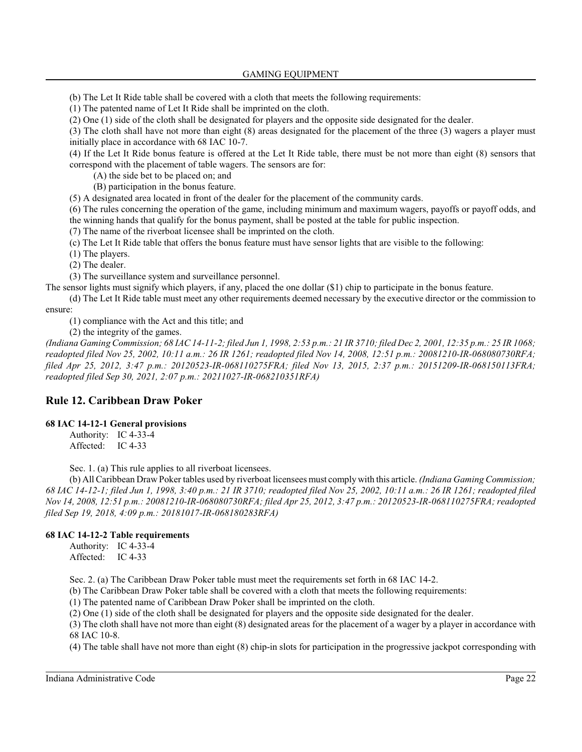(b) The Let It Ride table shall be covered with a cloth that meets the following requirements:

(1) The patented name of Let It Ride shall be imprinted on the cloth.

(2) One (1) side of the cloth shall be designated for players and the opposite side designated for the dealer.

(3) The cloth shall have not more than eight (8) areas designated for the placement of the three (3) wagers a player must initially place in accordance with 68 IAC 10-7.

(4) If the Let It Ride bonus feature is offered at the Let It Ride table, there must be not more than eight (8) sensors that correspond with the placement of table wagers. The sensors are for:

(A) the side bet to be placed on; and

(B) participation in the bonus feature.

(5) A designated area located in front of the dealer for the placement of the community cards.

(6) The rules concerning the operation of the game, including minimum and maximum wagers, payoffs or payoff odds, and the winning hands that qualify for the bonus payment, shall be posted at the table for public inspection.

(7) The name of the riverboat licensee shall be imprinted on the cloth.

(c) The Let It Ride table that offers the bonus feature must have sensor lights that are visible to the following:

(1) The players.

(2) The dealer.

(3) The surveillance system and surveillance personnel.

The sensor lights must signify which players, if any, placed the one dollar (\$1) chip to participate in the bonus feature.

(d) The Let It Ride table must meet any other requirements deemed necessary by the executive director or the commission to ensure:

(1) compliance with the Act and this title; and

(2) the integrity of the games.

*(Indiana Gaming Commission; 68 IAC 14-11-2; filed Jun 1, 1998, 2:53 p.m.: 21 IR 3710; filed Dec 2, 2001, 12:35 p.m.: 25 IR 1068; readopted filed Nov 25, 2002, 10:11 a.m.: 26 IR 1261; readopted filed Nov 14, 2008, 12:51 p.m.: 20081210-IR-068080730RFA; filed Apr 25, 2012, 3:47 p.m.: 20120523-IR-068110275FRA; filed Nov 13, 2015, 2:37 p.m.: 20151209-IR-068150113FRA; readopted filed Sep 30, 2021, 2:07 p.m.: 20211027-IR-068210351RFA)*

## **Rule 12. Caribbean Draw Poker**

## **68 IAC 14-12-1 General provisions**

Authority: IC 4-33-4 Affected: IC 4-33

Sec. 1. (a) This rule applies to all riverboat licensees.

(b) All Caribbean Draw Poker tables used by riverboat licensees must comply with this article. *(Indiana Gaming Commission; 68 IAC 14-12-1; filed Jun 1, 1998, 3:40 p.m.: 21 IR 3710; readopted filed Nov 25, 2002, 10:11 a.m.: 26 IR 1261; readopted filed Nov 14, 2008, 12:51 p.m.: 20081210-IR-068080730RFA; filed Apr 25, 2012, 3:47 p.m.: 20120523-IR-068110275FRA; readopted filed Sep 19, 2018, 4:09 p.m.: 20181017-IR-068180283RFA)*

## **68 IAC 14-12-2 Table requirements**

Authority: IC 4-33-4 Affected: IC 4-33

Sec. 2. (a) The Caribbean Draw Poker table must meet the requirements set forth in 68 IAC 14-2.

(b) The Caribbean Draw Poker table shall be covered with a cloth that meets the following requirements:

(1) The patented name of Caribbean Draw Poker shall be imprinted on the cloth.

(2) One (1) side of the cloth shall be designated for players and the opposite side designated for the dealer.

(3) The cloth shall have not more than eight (8) designated areas for the placement of a wager by a player in accordance with 68 IAC 10-8.

(4) The table shall have not more than eight (8) chip-in slots for participation in the progressive jackpot corresponding with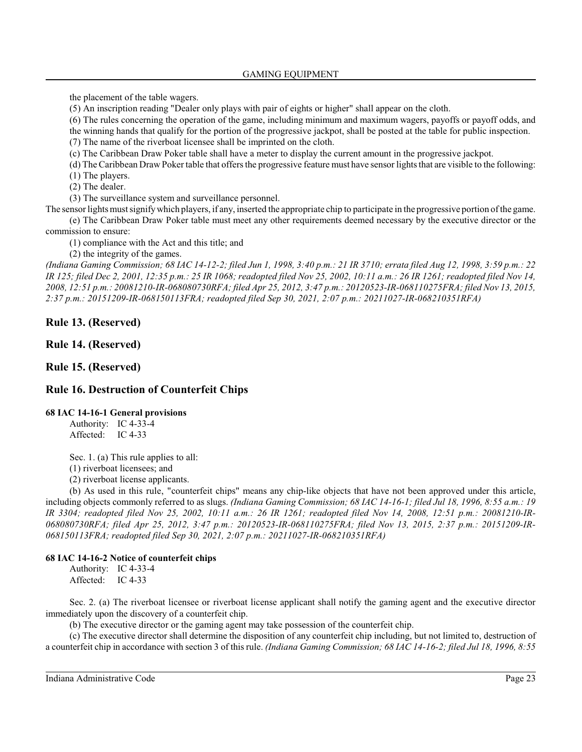the placement of the table wagers.

(5) An inscription reading "Dealer only plays with pair of eights or higher" shall appear on the cloth.

(6) The rules concerning the operation of the game, including minimum and maximum wagers, payoffs or payoff odds, and the winning hands that qualify for the portion of the progressive jackpot, shall be posted at the table for public inspection.

(7) The name of the riverboat licensee shall be imprinted on the cloth.

(c) The Caribbean Draw Poker table shall have a meter to display the current amount in the progressive jackpot.

(d) The Caribbean Draw Poker table that offers the progressive feature must have sensor lights that are visible to the following: (1) The players.

(2) The dealer.

(3) The surveillance system and surveillance personnel.

The sensor lights mustsignifywhich players, if any, inserted the appropriate chip to participate in the progressive portion of the game. (e) The Caribbean Draw Poker table must meet any other requirements deemed necessary by the executive director or the commission to ensure:

(1) compliance with the Act and this title; and

(2) the integrity of the games.

*(Indiana Gaming Commission; 68 IAC 14-12-2; filed Jun 1, 1998, 3:40 p.m.: 21 IR 3710; errata filed Aug 12, 1998, 3:59 p.m.: 22 IR 125; filed Dec 2, 2001, 12:35 p.m.: 25 IR 1068; readopted filed Nov 25, 2002, 10:11 a.m.: 26 IR 1261; readopted filed Nov 14, 2008, 12:51 p.m.: 20081210-IR-068080730RFA; filed Apr 25, 2012, 3:47 p.m.: 20120523-IR-068110275FRA; filed Nov 13, 2015, 2:37 p.m.: 20151209-IR-068150113FRA; readopted filed Sep 30, 2021, 2:07 p.m.: 20211027-IR-068210351RFA)*

**Rule 13. (Reserved)**

**Rule 14. (Reserved)**

**Rule 15. (Reserved)**

## **Rule 16. Destruction of Counterfeit Chips**

## **68 IAC 14-16-1 General provisions**

Authority: IC 4-33-4 Affected: IC 4-33

Sec. 1. (a) This rule applies to all:

(1) riverboat licensees; and

(2) riverboat license applicants.

(b) As used in this rule, "counterfeit chips" means any chip-like objects that have not been approved under this article, including objects commonly referred to as slugs. *(Indiana Gaming Commission; 68 IAC 14-16-1; filed Jul 18, 1996, 8:55 a.m.: 19 IR 3304; readopted filed Nov 25, 2002, 10:11 a.m.: 26 IR 1261; readopted filed Nov 14, 2008, 12:51 p.m.: 20081210-IR-068080730RFA; filed Apr 25, 2012, 3:47 p.m.: 20120523-IR-068110275FRA; filed Nov 13, 2015, 2:37 p.m.: 20151209-IR-068150113FRA; readopted filed Sep 30, 2021, 2:07 p.m.: 20211027-IR-068210351RFA)*

## **68 IAC 14-16-2 Notice of counterfeit chips**

Authority: IC 4-33-4 Affected: IC 4-33

Sec. 2. (a) The riverboat licensee or riverboat license applicant shall notify the gaming agent and the executive director immediately upon the discovery of a counterfeit chip.

(b) The executive director or the gaming agent may take possession of the counterfeit chip.

(c) The executive director shall determine the disposition of any counterfeit chip including, but not limited to, destruction of a counterfeit chip in accordance with section 3 of thisrule. *(Indiana Gaming Commission; 68 IAC 14-16-2; filed Jul 18, 1996, 8:55*